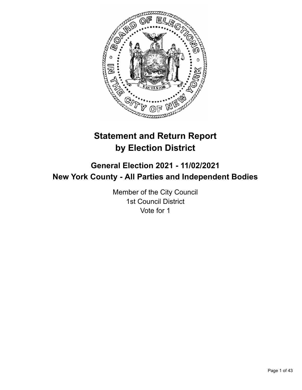

# **Statement and Return Report by Election District**

# **General Election 2021 - 11/02/2021 New York County - All Parties and Independent Bodies**

Member of the City Council 1st Council District Vote for 1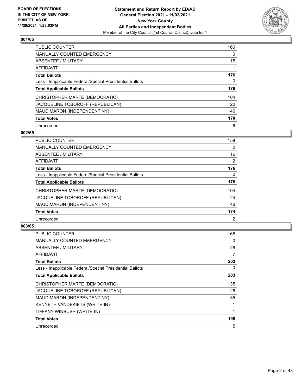

| <b>PUBLIC COUNTER</b>                                    | 160      |
|----------------------------------------------------------|----------|
| <b>MANUALLY COUNTED EMERGENCY</b>                        | $\Omega$ |
| ABSENTEE / MILITARY                                      | 15       |
| AFFIDAVIT                                                |          |
| <b>Total Ballots</b>                                     | 176      |
| Less - Inapplicable Federal/Special Presidential Ballots | 0        |
| <b>Total Applicable Ballots</b>                          | 176      |
| CHRISTOPHER MARTE (DEMOCRATIC)                           | 104      |
| JACQUELINE TOBOROFF (REPUBLICAN)                         | 20       |
| MAUD MARON (INDEPENDENT NY)                              | 46       |
| <b>Total Votes</b>                                       | 170      |
| Unrecorded                                               | 6        |

#### **002/65**

| <b>PUBLIC COUNTER</b>                                    | 158            |
|----------------------------------------------------------|----------------|
| <b>MANUALLY COUNTED EMERGENCY</b>                        | $\Omega$       |
| ABSENTEE / MILITARY                                      | 16             |
| <b>AFFIDAVIT</b>                                         | 2              |
| <b>Total Ballots</b>                                     | 176            |
| Less - Inapplicable Federal/Special Presidential Ballots | $\Omega$       |
| <b>Total Applicable Ballots</b>                          | 176            |
| CHRISTOPHER MARTE (DEMOCRATIC)                           | 104            |
| JACQUELINE TOBOROFF (REPUBLICAN)                         | 24             |
| MAUD MARON (INDEPENDENT NY)                              | 46             |
| <b>Total Votes</b>                                       | 174            |
| Unrecorded                                               | $\overline{2}$ |

| <b>PUBLIC COUNTER</b>                                    | 168 |
|----------------------------------------------------------|-----|
| <b>MANUALLY COUNTED EMERGENCY</b>                        | 0   |
| ABSENTEE / MILITARY                                      | 28  |
| AFFIDAVIT                                                | 7   |
| <b>Total Ballots</b>                                     | 203 |
| Less - Inapplicable Federal/Special Presidential Ballots | 0   |
| <b>Total Applicable Ballots</b>                          | 203 |
| CHRISTOPHER MARTE (DEMOCRATIC)                           | 135 |
| JACQUELINE TOBOROFF (REPUBLICAN)                         | 26  |
| MAUD MARON (INDEPENDENT NY)                              | 35  |
| KENNETH VANDEKIETS (WRITE-IN)                            | 1   |
| TIFFANY WINBUSH (WRITE-IN)                               | 1   |
| <b>Total Votes</b>                                       | 198 |
| Unrecorded                                               | 5   |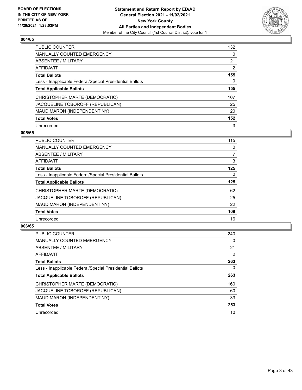

| <b>PUBLIC COUNTER</b>                                    | 132      |
|----------------------------------------------------------|----------|
| <b>MANUALLY COUNTED EMERGENCY</b>                        | $\Omega$ |
| ABSENTEE / MILITARY                                      | 21       |
| AFFIDAVIT                                                | 2        |
| <b>Total Ballots</b>                                     | 155      |
| Less - Inapplicable Federal/Special Presidential Ballots | 0        |
| <b>Total Applicable Ballots</b>                          | 155      |
| CHRISTOPHER MARTE (DEMOCRATIC)                           | 107      |
| JACQUELINE TOBOROFF (REPUBLICAN)                         | 25       |
| MAUD MARON (INDEPENDENT NY)                              | 20       |
| <b>Total Votes</b>                                       | 152      |
| Unrecorded                                               | 3        |

#### **005/65**

| <b>PUBLIC COUNTER</b>                                    | 115      |
|----------------------------------------------------------|----------|
| MANUALLY COUNTED EMERGENCY                               | 0        |
| ABSENTEE / MILITARY                                      | 7        |
| <b>AFFIDAVIT</b>                                         | 3        |
| <b>Total Ballots</b>                                     | 125      |
| Less - Inapplicable Federal/Special Presidential Ballots | $\Omega$ |
| <b>Total Applicable Ballots</b>                          | 125      |
| CHRISTOPHER MARTE (DEMOCRATIC)                           | 62       |
| JACQUELINE TOBOROFF (REPUBLICAN)                         | 25       |
| MAUD MARON (INDEPENDENT NY)                              | 22       |
| <b>Total Votes</b>                                       | 109      |
| Unrecorded                                               | 16       |

| <b>PUBLIC COUNTER</b>                                    | 240      |
|----------------------------------------------------------|----------|
| <b>MANUALLY COUNTED EMERGENCY</b>                        | $\Omega$ |
| ABSENTEE / MILITARY                                      | 21       |
| AFFIDAVIT                                                | 2        |
| <b>Total Ballots</b>                                     | 263      |
| Less - Inapplicable Federal/Special Presidential Ballots | 0        |
| <b>Total Applicable Ballots</b>                          | 263      |
| CHRISTOPHER MARTE (DEMOCRATIC)                           | 160      |
| JACQUELINE TOBOROFF (REPUBLICAN)                         | 60       |
| MAUD MARON (INDEPENDENT NY)                              | 33       |
| <b>Total Votes</b>                                       | 253      |
| Unrecorded                                               | 10       |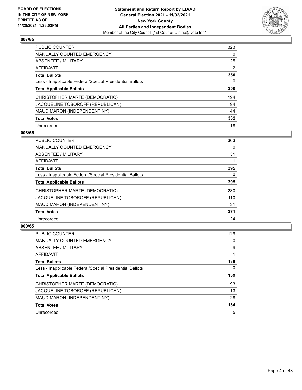

| <b>PUBLIC COUNTER</b>                                    | 323      |
|----------------------------------------------------------|----------|
| <b>MANUALLY COUNTED EMERGENCY</b>                        | $\Omega$ |
| ABSENTEE / MILITARY                                      | 25       |
| <b>AFFIDAVIT</b>                                         | 2        |
| <b>Total Ballots</b>                                     | 350      |
| Less - Inapplicable Federal/Special Presidential Ballots | 0        |
| <b>Total Applicable Ballots</b>                          | 350      |
| CHRISTOPHER MARTE (DEMOCRATIC)                           | 194      |
| JACQUELINE TOBOROFF (REPUBLICAN)                         | 94       |
| MAUD MARON (INDEPENDENT NY)                              | 44       |
| <b>Total Votes</b>                                       | 332      |
| Unrecorded                                               | 18       |

#### **008/65**

| <b>PUBLIC COUNTER</b>                                    | 363      |
|----------------------------------------------------------|----------|
| <b>MANUALLY COUNTED EMERGENCY</b>                        | 0        |
| ABSENTEE / MILITARY                                      | 31       |
| <b>AFFIDAVIT</b>                                         |          |
| <b>Total Ballots</b>                                     | 395      |
| Less - Inapplicable Federal/Special Presidential Ballots | $\Omega$ |
| <b>Total Applicable Ballots</b>                          | 395      |
| CHRISTOPHER MARTE (DEMOCRATIC)                           | 230      |
| JACQUELINE TOBOROFF (REPUBLICAN)                         | 110      |
| MAUD MARON (INDEPENDENT NY)                              | 31       |
| <b>Total Votes</b>                                       | 371      |
| Unrecorded                                               | 24       |

| <b>PUBLIC COUNTER</b>                                    | 129 |
|----------------------------------------------------------|-----|
| MANUALLY COUNTED EMERGENCY                               | 0   |
| ABSENTEE / MILITARY                                      | 9   |
| <b>AFFIDAVIT</b>                                         |     |
| <b>Total Ballots</b>                                     | 139 |
| Less - Inapplicable Federal/Special Presidential Ballots | 0   |
| <b>Total Applicable Ballots</b>                          | 139 |
| CHRISTOPHER MARTE (DEMOCRATIC)                           | 93  |
| JACQUELINE TOBOROFF (REPUBLICAN)                         | 13  |
| MAUD MARON (INDEPENDENT NY)                              | 28  |
| <b>Total Votes</b>                                       | 134 |
|                                                          |     |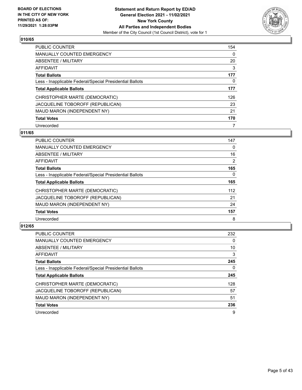

| PUBLIC COUNTER                                           | 154      |
|----------------------------------------------------------|----------|
| MANUALLY COUNTED EMERGENCY                               | $\Omega$ |
| ABSENTEE / MILITARY                                      | 20       |
| AFFIDAVIT                                                | 3        |
| <b>Total Ballots</b>                                     | 177      |
| Less - Inapplicable Federal/Special Presidential Ballots | 0        |
| <b>Total Applicable Ballots</b>                          | 177      |
| CHRISTOPHER MARTE (DEMOCRATIC)                           | 126      |
| JACQUELINE TOBOROFF (REPUBLICAN)                         | 23       |
| MAUD MARON (INDEPENDENT NY)                              | 21       |
| <b>Total Votes</b>                                       | 170      |
| Unrecorded                                               |          |

# **011/65**

| <b>PUBLIC COUNTER</b>                                    | 147            |
|----------------------------------------------------------|----------------|
| <b>MANUALLY COUNTED EMERGENCY</b>                        | $\Omega$       |
| ABSENTEE / MILITARY                                      | 16             |
| <b>AFFIDAVIT</b>                                         | $\overline{2}$ |
| <b>Total Ballots</b>                                     | 165            |
| Less - Inapplicable Federal/Special Presidential Ballots | $\Omega$       |
| <b>Total Applicable Ballots</b>                          | 165            |
| CHRISTOPHER MARTE (DEMOCRATIC)                           | 112            |
| JACQUELINE TOBOROFF (REPUBLICAN)                         | 21             |
| MAUD MARON (INDEPENDENT NY)                              | 24             |
| <b>Total Votes</b>                                       | 157            |
| Unrecorded                                               | 8              |

| <b>PUBLIC COUNTER</b>                                    | 232      |
|----------------------------------------------------------|----------|
| <b>MANUALLY COUNTED EMERGENCY</b>                        | $\Omega$ |
| ABSENTEE / MILITARY                                      | 10       |
| <b>AFFIDAVIT</b>                                         | 3        |
| <b>Total Ballots</b>                                     | 245      |
| Less - Inapplicable Federal/Special Presidential Ballots | 0        |
| <b>Total Applicable Ballots</b>                          | 245      |
| CHRISTOPHER MARTE (DEMOCRATIC)                           | 128      |
| JACQUELINE TOBOROFF (REPUBLICAN)                         | 57       |
| MAUD MARON (INDEPENDENT NY)                              | 51       |
| <b>Total Votes</b>                                       | 236      |
| Unrecorded                                               | 9        |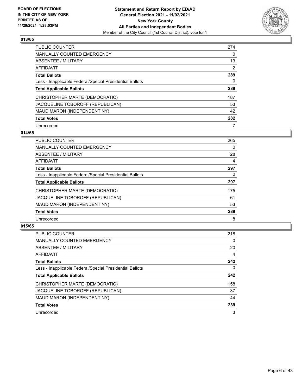

| PUBLIC COUNTER                                           | 274            |
|----------------------------------------------------------|----------------|
| <b>MANUALLY COUNTED EMERGENCY</b>                        | $\Omega$       |
| ABSENTEE / MILITARY                                      | 13             |
| AFFIDAVIT                                                | $\overline{2}$ |
| <b>Total Ballots</b>                                     | 289            |
| Less - Inapplicable Federal/Special Presidential Ballots | 0              |
| <b>Total Applicable Ballots</b>                          | 289            |
| CHRISTOPHER MARTE (DEMOCRATIC)                           | 187            |
| JACQUELINE TOBOROFF (REPUBLICAN)                         | 53             |
| MAUD MARON (INDEPENDENT NY)                              | 42             |
| <b>Total Votes</b>                                       | 282            |
| Unrecorded                                               |                |

#### **014/65**

| <b>PUBLIC COUNTER</b>                                    | 265 |
|----------------------------------------------------------|-----|
| <b>MANUALLY COUNTED EMERGENCY</b>                        | 0   |
| ABSENTEE / MILITARY                                      | 28  |
| <b>AFFIDAVIT</b>                                         | 4   |
| <b>Total Ballots</b>                                     | 297 |
| Less - Inapplicable Federal/Special Presidential Ballots | 0   |
| <b>Total Applicable Ballots</b>                          | 297 |
| CHRISTOPHER MARTE (DEMOCRATIC)                           | 175 |
| JACQUELINE TOBOROFF (REPUBLICAN)                         | 61  |
| MAUD MARON (INDEPENDENT NY)                              | 53  |
| <b>Total Votes</b>                                       | 289 |
| Unrecorded                                               | 8   |

| <b>PUBLIC COUNTER</b>                                    | 218      |
|----------------------------------------------------------|----------|
| <b>MANUALLY COUNTED EMERGENCY</b>                        | $\Omega$ |
| <b>ABSENTEE / MILITARY</b>                               | 20       |
| AFFIDAVIT                                                | 4        |
| <b>Total Ballots</b>                                     | 242      |
| Less - Inapplicable Federal/Special Presidential Ballots | 0        |
| <b>Total Applicable Ballots</b>                          | 242      |
| CHRISTOPHER MARTE (DEMOCRATIC)                           | 158      |
| JACQUELINE TOBOROFF (REPUBLICAN)                         | 37       |
| MAUD MARON (INDEPENDENT NY)                              | 44       |
| <b>Total Votes</b>                                       | 239      |
| Unrecorded                                               | 3        |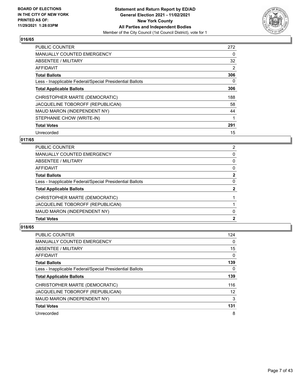

| <b>PUBLIC COUNTER</b>                                    | 272 |
|----------------------------------------------------------|-----|
| <b>MANUALLY COUNTED EMERGENCY</b>                        | 0   |
| ABSENTEE / MILITARY                                      | 32  |
| <b>AFFIDAVIT</b>                                         | 2   |
| <b>Total Ballots</b>                                     | 306 |
| Less - Inapplicable Federal/Special Presidential Ballots | 0   |
| <b>Total Applicable Ballots</b>                          | 306 |
| CHRISTOPHER MARTE (DEMOCRATIC)                           | 188 |
| JACQUELINE TOBOROFF (REPUBLICAN)                         | 58  |
| MAUD MARON (INDEPENDENT NY)                              | 44  |
| STEPHANIE CHOW (WRITE-IN)                                |     |
| <b>Total Votes</b>                                       | 291 |
| Unrecorded                                               | 15  |

# **017/65**

| <b>Total Votes</b>                                       | $\mathbf{2}$ |
|----------------------------------------------------------|--------------|
| MAUD MARON (INDEPENDENT NY)                              | 0            |
| JACQUELINE TOBOROFF (REPUBLICAN)                         |              |
| CHRISTOPHER MARTE (DEMOCRATIC)                           |              |
| <b>Total Applicable Ballots</b>                          | $\mathbf{2}$ |
| Less - Inapplicable Federal/Special Presidential Ballots | 0            |
| <b>Total Ballots</b>                                     | $\mathbf{2}$ |
| AFFIDAVIT                                                | 0            |
| ABSENTEE / MILITARY                                      | $\Omega$     |
| MANUALLY COUNTED EMERGENCY                               | 0            |
| PUBLIC COUNTER                                           | 2            |

| <b>PUBLIC COUNTER</b>                                    | 124 |
|----------------------------------------------------------|-----|
| MANUALLY COUNTED EMERGENCY                               | 0   |
| ABSENTEE / MILITARY                                      | 15  |
| AFFIDAVIT                                                | 0   |
| <b>Total Ballots</b>                                     | 139 |
| Less - Inapplicable Federal/Special Presidential Ballots | 0   |
| <b>Total Applicable Ballots</b>                          | 139 |
| CHRISTOPHER MARTE (DEMOCRATIC)                           | 116 |
| JACQUELINE TOBOROFF (REPUBLICAN)                         | 12  |
| MAUD MARON (INDEPENDENT NY)                              | 3   |
| <b>Total Votes</b>                                       | 131 |
| Unrecorded                                               | 8   |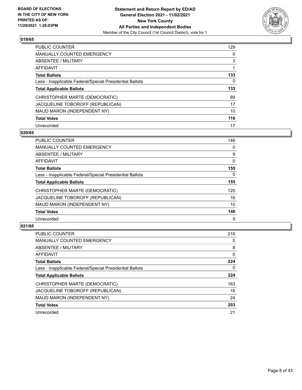

| <b>PUBLIC COUNTER</b>                                    | 129      |
|----------------------------------------------------------|----------|
| <b>MANUALLY COUNTED EMERGENCY</b>                        | $\Omega$ |
| ABSENTEE / MILITARY                                      | 3        |
| AFFIDAVIT                                                |          |
| <b>Total Ballots</b>                                     | 133      |
| Less - Inapplicable Federal/Special Presidential Ballots | 0        |
| <b>Total Applicable Ballots</b>                          | 133      |
| CHRISTOPHER MARTE (DEMOCRATIC)                           | 89       |
| JACQUELINE TOBOROFF (REPUBLICAN)                         | 17       |
| MAUD MARON (INDEPENDENT NY)                              | 10       |
| <b>Total Votes</b>                                       | 116      |
| Unrecorded                                               | 17       |

#### **020/65**

| <b>PUBLIC COUNTER</b>                                    | 146      |
|----------------------------------------------------------|----------|
| <b>MANUALLY COUNTED EMERGENCY</b>                        | 0        |
| ABSENTEE / MILITARY                                      | 9        |
| AFFIDAVIT                                                | 0        |
| <b>Total Ballots</b>                                     | 155      |
| Less - Inapplicable Federal/Special Presidential Ballots | $\Omega$ |
| <b>Total Applicable Ballots</b>                          | 155      |
| CHRISTOPHER MARTE (DEMOCRATIC)                           | 120      |
| JACQUELINE TOBOROFF (REPUBLICAN)                         | 16       |
| MAUD MARON (INDEPENDENT NY)                              | 10       |
| <b>Total Votes</b>                                       | 146      |
| Unrecorded                                               | 9        |

| <b>PUBLIC COUNTER</b>                                    | 216      |
|----------------------------------------------------------|----------|
| <b>MANUALLY COUNTED EMERGENCY</b>                        | 0        |
| ABSENTEE / MILITARY                                      | 8        |
| <b>AFFIDAVIT</b>                                         | $\Omega$ |
| <b>Total Ballots</b>                                     | 224      |
| Less - Inapplicable Federal/Special Presidential Ballots | 0        |
| <b>Total Applicable Ballots</b>                          | 224      |
| CHRISTOPHER MARTE (DEMOCRATIC)                           | 163      |
| JACQUELINE TOBOROFF (REPUBLICAN)                         | 16       |
| MAUD MARON (INDEPENDENT NY)                              | 24       |
| <b>Total Votes</b>                                       | 203      |
| Unrecorded                                               | 21       |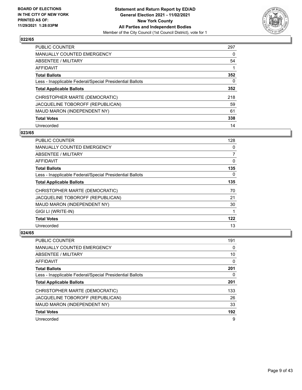

| PUBLIC COUNTER                                           | 297 |
|----------------------------------------------------------|-----|
| <b>MANUALLY COUNTED EMERGENCY</b>                        | 0   |
| ABSENTEE / MILITARY                                      | 54  |
| AFFIDAVIT                                                |     |
| <b>Total Ballots</b>                                     | 352 |
| Less - Inapplicable Federal/Special Presidential Ballots | 0   |
| <b>Total Applicable Ballots</b>                          | 352 |
| CHRISTOPHER MARTE (DEMOCRATIC)                           | 218 |
| JACQUELINE TOBOROFF (REPUBLICAN)                         | 59  |
| MAUD MARON (INDEPENDENT NY)                              | 61  |
| <b>Total Votes</b>                                       | 338 |
| Unrecorded                                               | 14  |

#### **023/65**

| <b>PUBLIC COUNTER</b>                                    | 128      |
|----------------------------------------------------------|----------|
| <b>MANUALLY COUNTED EMERGENCY</b>                        | 0        |
| ABSENTEE / MILITARY                                      | 7        |
| AFFIDAVIT                                                | 0        |
| <b>Total Ballots</b>                                     | 135      |
| Less - Inapplicable Federal/Special Presidential Ballots | $\Omega$ |
| <b>Total Applicable Ballots</b>                          | 135      |
| CHRISTOPHER MARTE (DEMOCRATIC)                           | 70       |
| JACQUELINE TOBOROFF (REPUBLICAN)                         | 21       |
| MAUD MARON (INDEPENDENT NY)                              | 30       |
| GIGI LI (WRITE-IN)                                       | 1        |
| <b>Total Votes</b>                                       | 122      |
| Unrecorded                                               | 13       |

| PUBLIC COUNTER                                           | 191 |
|----------------------------------------------------------|-----|
| <b>MANUALLY COUNTED EMERGENCY</b>                        | 0   |
| ABSENTEE / MILITARY                                      | 10  |
| AFFIDAVIT                                                | 0   |
| <b>Total Ballots</b>                                     | 201 |
| Less - Inapplicable Federal/Special Presidential Ballots | 0   |
| <b>Total Applicable Ballots</b>                          | 201 |
| CHRISTOPHER MARTE (DEMOCRATIC)                           | 133 |
| JACQUELINE TOBOROFF (REPUBLICAN)                         | 26  |
| MAUD MARON (INDEPENDENT NY)                              | 33  |
| <b>Total Votes</b>                                       | 192 |
| Unrecorded                                               | 9   |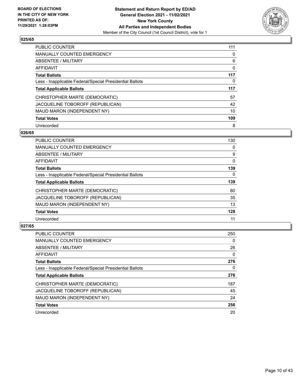

| <b>PUBLIC COUNTER</b>                                    | 111 |
|----------------------------------------------------------|-----|
| <b>MANUALLY COUNTED EMERGENCY</b>                        | 0   |
| ABSENTEE / MILITARY                                      | 6   |
| <b>AFFIDAVIT</b>                                         | 0   |
| <b>Total Ballots</b>                                     | 117 |
| Less - Inapplicable Federal/Special Presidential Ballots | 0   |
| <b>Total Applicable Ballots</b>                          | 117 |
| CHRISTOPHER MARTE (DEMOCRATIC)                           | 57  |
| JACQUELINE TOBOROFF (REPUBLICAN)                         | 42  |
| MAUD MARON (INDEPENDENT NY)                              | 10  |
| <b>Total Votes</b>                                       | 109 |
| Unrecorded                                               | 8   |

#### **026/65**

| <b>PUBLIC COUNTER</b>                                    | 130      |
|----------------------------------------------------------|----------|
| MANUALLY COUNTED EMERGENCY                               | 0        |
| ABSENTEE / MILITARY                                      | 9        |
| <b>AFFIDAVIT</b>                                         | $\Omega$ |
| <b>Total Ballots</b>                                     | 139      |
| Less - Inapplicable Federal/Special Presidential Ballots | $\Omega$ |
| <b>Total Applicable Ballots</b>                          | 139      |
| CHRISTOPHER MARTE (DEMOCRATIC)                           | 80       |
| JACQUELINE TOBOROFF (REPUBLICAN)                         | 35       |
| MAUD MARON (INDEPENDENT NY)                              | 13       |
| <b>Total Votes</b>                                       | 128      |
| Unrecorded                                               | 11       |

| <b>PUBLIC COUNTER</b>                                    | 250      |
|----------------------------------------------------------|----------|
| <b>MANUALLY COUNTED EMERGENCY</b>                        | $\Omega$ |
| ABSENTEE / MILITARY                                      | 26       |
| <b>AFFIDAVIT</b>                                         | $\Omega$ |
| <b>Total Ballots</b>                                     | 276      |
| Less - Inapplicable Federal/Special Presidential Ballots | 0        |
| <b>Total Applicable Ballots</b>                          | 276      |
| CHRISTOPHER MARTE (DEMOCRATIC)                           | 187      |
| JACQUELINE TOBOROFF (REPUBLICAN)                         | 45       |
| MAUD MARON (INDEPENDENT NY)                              | 24       |
| <b>Total Votes</b>                                       | 256      |
| Unrecorded                                               | 20       |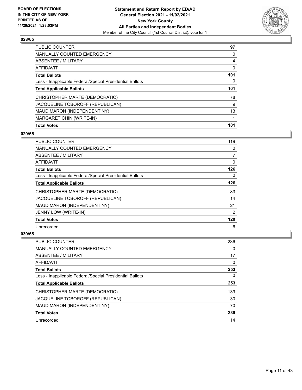

| <b>PUBLIC COUNTER</b>                                    | 97  |
|----------------------------------------------------------|-----|
| <b>MANUALLY COUNTED EMERGENCY</b>                        | 0   |
| ABSENTEE / MILITARY                                      | 4   |
| AFFIDAVIT                                                | 0   |
| <b>Total Ballots</b>                                     | 101 |
| Less - Inapplicable Federal/Special Presidential Ballots | 0   |
| <b>Total Applicable Ballots</b>                          | 101 |
| CHRISTOPHER MARTE (DEMOCRATIC)                           | 78  |
| JACQUELINE TOBOROFF (REPUBLICAN)                         | 9   |
| MAUD MARON (INDEPENDENT NY)                              | 13  |
| MARGARET CHIN (WRITE-IN)                                 |     |
| <b>Total Votes</b>                                       | 101 |

# **029/65**

| <b>PUBLIC COUNTER</b>                                    | 119 |
|----------------------------------------------------------|-----|
| <b>MANUALLY COUNTED EMERGENCY</b>                        | 0   |
| ABSENTEE / MILITARY                                      | 7   |
| AFFIDAVIT                                                | 0   |
| <b>Total Ballots</b>                                     | 126 |
| Less - Inapplicable Federal/Special Presidential Ballots | 0   |
| <b>Total Applicable Ballots</b>                          | 126 |
| CHRISTOPHER MARTE (DEMOCRATIC)                           | 83  |
| JACQUELINE TOBOROFF (REPUBLICAN)                         | 14  |
| MAUD MARON (INDEPENDENT NY)                              | 21  |
| JENNY LOW (WRITE-IN)                                     | 2   |
| <b>Total Votes</b>                                       | 120 |
| Unrecorded                                               | 6   |

| PUBLIC COUNTER                                           | 236 |
|----------------------------------------------------------|-----|
| <b>MANUALLY COUNTED EMERGENCY</b>                        | 0   |
| ABSENTEE / MILITARY                                      | 17  |
| AFFIDAVIT                                                | 0   |
| <b>Total Ballots</b>                                     | 253 |
| Less - Inapplicable Federal/Special Presidential Ballots | 0   |
| <b>Total Applicable Ballots</b>                          | 253 |
| CHRISTOPHER MARTE (DEMOCRATIC)                           | 139 |
| JACQUELINE TOBOROFF (REPUBLICAN)                         | 30  |
| MAUD MARON (INDEPENDENT NY)                              | 70  |
| <b>Total Votes</b>                                       | 239 |
| Unrecorded                                               | 14  |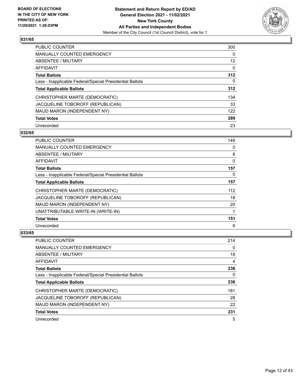

| <b>PUBLIC COUNTER</b>                                    | 300      |
|----------------------------------------------------------|----------|
| <b>MANUALLY COUNTED EMERGENCY</b>                        | $\Omega$ |
| ABSENTEE / MILITARY                                      | 12       |
| AFFIDAVIT                                                | $\Omega$ |
| <b>Total Ballots</b>                                     | 312      |
| Less - Inapplicable Federal/Special Presidential Ballots | 0        |
| <b>Total Applicable Ballots</b>                          | 312      |
| CHRISTOPHER MARTE (DEMOCRATIC)                           | 134      |
| JACQUELINE TOBOROFF (REPUBLICAN)                         | 33       |
| MAUD MARON (INDEPENDENT NY)                              | 122      |
| <b>Total Votes</b>                                       | 289      |
| Unrecorded                                               | 23       |

#### **032/65**

| PUBLIC COUNTER                                           | 149      |
|----------------------------------------------------------|----------|
| MANUALLY COUNTED EMERGENCY                               | 0        |
| ABSENTEE / MILITARY                                      | 8        |
| AFFIDAVIT                                                | 0        |
| <b>Total Ballots</b>                                     | 157      |
| Less - Inapplicable Federal/Special Presidential Ballots | $\Omega$ |
| <b>Total Applicable Ballots</b>                          | 157      |
| CHRISTOPHER MARTE (DEMOCRATIC)                           | 112      |
| JACQUELINE TOBOROFF (REPUBLICAN)                         | 18       |
| MAUD MARON (INDEPENDENT NY)                              | 20       |
| UNATTRIBUTABLE WRITE-IN (WRITE-IN)                       |          |
| <b>Total Votes</b>                                       | 151      |
| Unrecorded                                               | 6        |

| PUBLIC COUNTER                                           | 214 |
|----------------------------------------------------------|-----|
| <b>MANUALLY COUNTED EMERGENCY</b>                        | 0   |
| <b>ABSENTEE / MILITARY</b>                               | 18  |
| AFFIDAVIT                                                | 4   |
| <b>Total Ballots</b>                                     | 236 |
| Less - Inapplicable Federal/Special Presidential Ballots | 0   |
| <b>Total Applicable Ballots</b>                          | 236 |
| CHRISTOPHER MARTE (DEMOCRATIC)                           | 181 |
| JACQUELINE TOBOROFF (REPUBLICAN)                         | 28  |
| MAUD MARON (INDEPENDENT NY)                              | 22  |
| <b>Total Votes</b>                                       | 231 |
| Unrecorded                                               | 5   |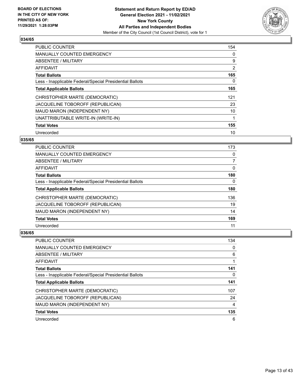

| PUBLIC COUNTER                                           | 154 |
|----------------------------------------------------------|-----|
| <b>MANUALLY COUNTED EMERGENCY</b>                        | 0   |
| ABSENTEE / MILITARY                                      | 9   |
| <b>AFFIDAVIT</b>                                         | 2   |
| <b>Total Ballots</b>                                     | 165 |
| Less - Inapplicable Federal/Special Presidential Ballots | 0   |
| <b>Total Applicable Ballots</b>                          | 165 |
| CHRISTOPHER MARTE (DEMOCRATIC)                           | 121 |
| JACQUELINE TOBOROFF (REPUBLICAN)                         | 23  |
| MAUD MARON (INDEPENDENT NY)                              | 10  |
| UNATTRIBUTABLE WRITE-IN (WRITE-IN)                       | 1   |
| <b>Total Votes</b>                                       | 155 |
| Unrecorded                                               | 10  |

# **035/65**

| <b>PUBLIC COUNTER</b>                                    | 173 |
|----------------------------------------------------------|-----|
| MANUALLY COUNTED EMERGENCY                               | 0   |
| ABSENTEE / MILITARY                                      | 7   |
| AFFIDAVIT                                                | 0   |
| <b>Total Ballots</b>                                     | 180 |
| Less - Inapplicable Federal/Special Presidential Ballots | 0   |
| <b>Total Applicable Ballots</b>                          | 180 |
| CHRISTOPHER MARTE (DEMOCRATIC)                           | 136 |
| JACQUELINE TOBOROFF (REPUBLICAN)                         | 19  |
| MAUD MARON (INDEPENDENT NY)                              | 14  |
| <b>Total Votes</b>                                       | 169 |
| Unrecorded                                               | 11  |

| PUBLIC COUNTER                                           | 134 |
|----------------------------------------------------------|-----|
| <b>MANUALLY COUNTED EMERGENCY</b>                        | 0   |
| ABSENTEE / MILITARY                                      | 6   |
| AFFIDAVIT                                                |     |
| <b>Total Ballots</b>                                     | 141 |
| Less - Inapplicable Federal/Special Presidential Ballots | 0   |
| <b>Total Applicable Ballots</b>                          | 141 |
| CHRISTOPHER MARTE (DEMOCRATIC)                           | 107 |
| JACQUELINE TOBOROFF (REPUBLICAN)                         | 24  |
| MAUD MARON (INDEPENDENT NY)                              | 4   |
| <b>Total Votes</b>                                       | 135 |
| Unrecorded                                               | 6   |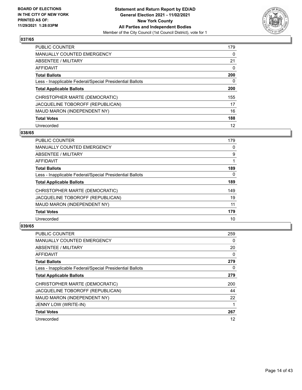

| <b>PUBLIC COUNTER</b>                                    | 179      |
|----------------------------------------------------------|----------|
| <b>MANUALLY COUNTED EMERGENCY</b>                        | $\Omega$ |
| ABSENTEE / MILITARY                                      | 21       |
| AFFIDAVIT                                                | $\Omega$ |
| <b>Total Ballots</b>                                     | 200      |
| Less - Inapplicable Federal/Special Presidential Ballots | 0        |
| <b>Total Applicable Ballots</b>                          | 200      |
| CHRISTOPHER MARTE (DEMOCRATIC)                           | 155      |
| JACQUELINE TOBOROFF (REPUBLICAN)                         | 17       |
| MAUD MARON (INDEPENDENT NY)                              | 16       |
| <b>Total Votes</b>                                       | 188      |
| Unrecorded                                               | 12       |

#### **038/65**

| <b>PUBLIC COUNTER</b>                                    | 179      |
|----------------------------------------------------------|----------|
| <b>MANUALLY COUNTED EMERGENCY</b>                        | 0        |
| ABSENTEE / MILITARY                                      | 9        |
| <b>AFFIDAVIT</b>                                         |          |
| <b>Total Ballots</b>                                     | 189      |
| Less - Inapplicable Federal/Special Presidential Ballots | $\Omega$ |
| <b>Total Applicable Ballots</b>                          | 189      |
| CHRISTOPHER MARTE (DEMOCRATIC)                           | 149      |
| JACQUELINE TOBOROFF (REPUBLICAN)                         | 19       |
| MAUD MARON (INDEPENDENT NY)                              | 11       |
| <b>Total Votes</b>                                       | 179      |
| Unrecorded                                               | 10       |

| <b>PUBLIC COUNTER</b>                                    | 259 |
|----------------------------------------------------------|-----|
| MANUALLY COUNTED EMERGENCY                               | 0   |
| ABSENTEE / MILITARY                                      | 20  |
| AFFIDAVIT                                                | 0   |
| <b>Total Ballots</b>                                     | 279 |
| Less - Inapplicable Federal/Special Presidential Ballots | 0   |
| <b>Total Applicable Ballots</b>                          | 279 |
| CHRISTOPHER MARTE (DEMOCRATIC)                           | 200 |
| JACQUELINE TOBOROFF (REPUBLICAN)                         | 44  |
| MAUD MARON (INDEPENDENT NY)                              | 22  |
| JENNY LOW (WRITE-IN)                                     |     |
| <b>Total Votes</b>                                       | 267 |
| Unrecorded                                               | 12  |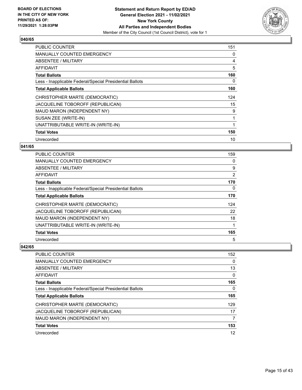

| <b>PUBLIC COUNTER</b>                                    | 151 |
|----------------------------------------------------------|-----|
| <b>MANUALLY COUNTED EMERGENCY</b>                        | 0   |
| ABSENTEE / MILITARY                                      | 4   |
| AFFIDAVIT                                                | 5   |
| <b>Total Ballots</b>                                     | 160 |
| Less - Inapplicable Federal/Special Presidential Ballots | 0   |
| <b>Total Applicable Ballots</b>                          | 160 |
| CHRISTOPHER MARTE (DEMOCRATIC)                           | 124 |
| JACQUELINE TOBOROFF (REPUBLICAN)                         | 15  |
| MAUD MARON (INDEPENDENT NY)                              | 9   |
| SUSAN ZEE (WRITE-IN)                                     | 1   |
| UNATTRIBUTABLE WRITE-IN (WRITE-IN)                       | 1   |
| <b>Total Votes</b>                                       | 150 |
| Unrecorded                                               | 10  |

# **041/65**

| PUBLIC COUNTER                                           | 159            |
|----------------------------------------------------------|----------------|
| MANUALLY COUNTED EMERGENCY                               | 0              |
| ABSENTEE / MILITARY                                      | 9              |
| AFFIDAVIT                                                | $\overline{2}$ |
| <b>Total Ballots</b>                                     | 170            |
| Less - Inapplicable Federal/Special Presidential Ballots | 0              |
| <b>Total Applicable Ballots</b>                          | 170            |
| CHRISTOPHER MARTE (DEMOCRATIC)                           | 124            |
| JACQUELINE TOBOROFF (REPUBLICAN)                         | 22             |
| MAUD MARON (INDEPENDENT NY)                              | 18             |
| UNATTRIBUTABLE WRITE-IN (WRITE-IN)                       |                |
| <b>Total Votes</b>                                       | 165            |
| Unrecorded                                               | 5              |

| PUBLIC COUNTER                                           | 152      |
|----------------------------------------------------------|----------|
| <b>MANUALLY COUNTED EMERGENCY</b>                        | $\Omega$ |
| ABSENTEE / MILITARY                                      | 13       |
| AFFIDAVIT                                                | $\Omega$ |
| <b>Total Ballots</b>                                     | 165      |
| Less - Inapplicable Federal/Special Presidential Ballots | $\Omega$ |
| <b>Total Applicable Ballots</b>                          | 165      |
| CHRISTOPHER MARTE (DEMOCRATIC)                           | 129      |
| JACQUELINE TOBOROFF (REPUBLICAN)                         | 17       |
| MAUD MARON (INDEPENDENT NY)                              | 7        |
| <b>Total Votes</b>                                       | 153      |
| Unrecorded                                               | 12       |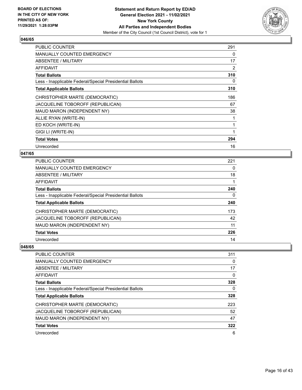

| <b>PUBLIC COUNTER</b>                                    | 291 |
|----------------------------------------------------------|-----|
| <b>MANUALLY COUNTED EMERGENCY</b>                        | 0   |
| ABSENTEE / MILITARY                                      | 17  |
| AFFIDAVIT                                                | 2   |
| <b>Total Ballots</b>                                     | 310 |
| Less - Inapplicable Federal/Special Presidential Ballots | 0   |
| <b>Total Applicable Ballots</b>                          | 310 |
| CHRISTOPHER MARTE (DEMOCRATIC)                           | 186 |
| JACQUELINE TOBOROFF (REPUBLICAN)                         | 67  |
| MAUD MARON (INDEPENDENT NY)                              | 38  |
| ALLIE RYAN (WRITE-IN)                                    | 1   |
| ED KOCH (WRITE-IN)                                       | 1   |
| GIGI LI (WRITE-IN)                                       | 1   |
| <b>Total Votes</b>                                       | 294 |
| Unrecorded                                               | 16  |

# **047/65**

| <b>PUBLIC COUNTER</b>                                    | 221 |
|----------------------------------------------------------|-----|
| <b>MANUALLY COUNTED EMERGENCY</b>                        | 0   |
| <b>ABSENTEE / MILITARY</b>                               | 18  |
| <b>AFFIDAVIT</b>                                         |     |
| <b>Total Ballots</b>                                     | 240 |
| Less - Inapplicable Federal/Special Presidential Ballots | 0   |
| <b>Total Applicable Ballots</b>                          | 240 |
| CHRISTOPHER MARTE (DEMOCRATIC)                           | 173 |
| JACQUELINE TOBOROFF (REPUBLICAN)                         | 42  |
| MAUD MARON (INDEPENDENT NY)                              | 11  |
| <b>Total Votes</b>                                       | 226 |
| Unrecorded                                               | 14  |

| PUBLIC COUNTER                                           | 311      |
|----------------------------------------------------------|----------|
| <b>MANUALLY COUNTED EMERGENCY</b>                        | $\Omega$ |
| <b>ABSENTEE / MILITARY</b>                               | 17       |
| AFFIDAVIT                                                | 0        |
| <b>Total Ballots</b>                                     | 328      |
| Less - Inapplicable Federal/Special Presidential Ballots | 0        |
| <b>Total Applicable Ballots</b>                          | 328      |
| CHRISTOPHER MARTE (DEMOCRATIC)                           | 223      |
| JACQUELINE TOBOROFF (REPUBLICAN)                         | 52       |
| MAUD MARON (INDEPENDENT NY)                              | 47       |
| <b>Total Votes</b>                                       | 322      |
| Unrecorded                                               | 6        |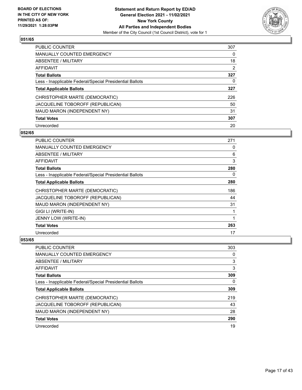

| <b>PUBLIC COUNTER</b>                                    | 307            |
|----------------------------------------------------------|----------------|
| <b>MANUALLY COUNTED EMERGENCY</b>                        | $\Omega$       |
| ABSENTEE / MILITARY                                      | 18             |
| AFFIDAVIT                                                | $\overline{2}$ |
| <b>Total Ballots</b>                                     | 327            |
| Less - Inapplicable Federal/Special Presidential Ballots | 0              |
| <b>Total Applicable Ballots</b>                          | 327            |
| CHRISTOPHER MARTE (DEMOCRATIC)                           | 226            |
| JACQUELINE TOBOROFF (REPUBLICAN)                         | 50             |
| MAUD MARON (INDEPENDENT NY)                              | 31             |
| <b>Total Votes</b>                                       | 307            |
| Unrecorded                                               | 20             |

#### **052/65**

| <b>PUBLIC COUNTER</b>                                    | 271 |
|----------------------------------------------------------|-----|
| <b>MANUALLY COUNTED EMERGENCY</b>                        | 0   |
| ABSENTEE / MILITARY                                      | 6   |
| AFFIDAVIT                                                | 3   |
| <b>Total Ballots</b>                                     | 280 |
| Less - Inapplicable Federal/Special Presidential Ballots | 0   |
| <b>Total Applicable Ballots</b>                          | 280 |
| CHRISTOPHER MARTE (DEMOCRATIC)                           | 186 |
| JACQUELINE TOBOROFF (REPUBLICAN)                         | 44  |
| MAUD MARON (INDEPENDENT NY)                              | 31  |
| GIGI LI (WRITE-IN)                                       |     |
| JENNY LOW (WRITE-IN)                                     | 1   |
| <b>Total Votes</b>                                       | 263 |
| Unrecorded                                               | 17  |

| PUBLIC COUNTER                                           | 303 |
|----------------------------------------------------------|-----|
| MANUALLY COUNTED EMERGENCY                               | 0   |
| ABSENTEE / MILITARY                                      | 3   |
| AFFIDAVIT                                                | 3   |
| <b>Total Ballots</b>                                     | 309 |
| Less - Inapplicable Federal/Special Presidential Ballots | 0   |
|                                                          | 309 |
| <b>Total Applicable Ballots</b>                          |     |
| CHRISTOPHER MARTE (DEMOCRATIC)                           | 219 |
| JACQUELINE TOBOROFF (REPUBLICAN)                         | 43  |
| MAUD MARON (INDEPENDENT NY)                              | 28  |
| <b>Total Votes</b>                                       | 290 |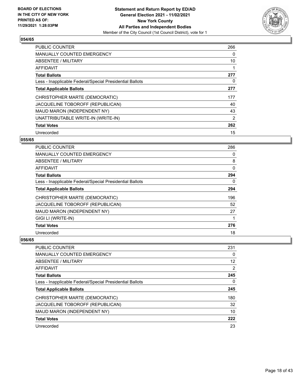

| <b>PUBLIC COUNTER</b>                                    | 266 |
|----------------------------------------------------------|-----|
| <b>MANUALLY COUNTED EMERGENCY</b>                        | 0   |
| ABSENTEE / MILITARY                                      | 10  |
| <b>AFFIDAVIT</b>                                         |     |
| <b>Total Ballots</b>                                     | 277 |
| Less - Inapplicable Federal/Special Presidential Ballots | 0   |
| <b>Total Applicable Ballots</b>                          | 277 |
| CHRISTOPHER MARTE (DEMOCRATIC)                           | 177 |
| JACQUELINE TOBOROFF (REPUBLICAN)                         | 40  |
| MAUD MARON (INDEPENDENT NY)                              | 43  |
| UNATTRIBUTABLE WRITE-IN (WRITE-IN)                       | 2   |
| <b>Total Votes</b>                                       | 262 |
| Unrecorded                                               | 15  |

# **055/65**

| <b>PUBLIC COUNTER</b>                                    | 286      |
|----------------------------------------------------------|----------|
| <b>MANUALLY COUNTED EMERGENCY</b>                        | $\Omega$ |
| ABSENTEE / MILITARY                                      | 8        |
| <b>AFFIDAVIT</b>                                         | 0        |
| <b>Total Ballots</b>                                     | 294      |
| Less - Inapplicable Federal/Special Presidential Ballots | 0        |
| <b>Total Applicable Ballots</b>                          | 294      |
| CHRISTOPHER MARTE (DEMOCRATIC)                           | 196      |
| JACQUELINE TOBOROFF (REPUBLICAN)                         | 52       |
| MAUD MARON (INDEPENDENT NY)                              | 27       |
| GIGI LI (WRITE-IN)                                       |          |
| <b>Total Votes</b>                                       | 276      |
| Unrecorded                                               | 18       |

| <b>PUBLIC COUNTER</b>                                    | 231 |
|----------------------------------------------------------|-----|
| MANUALLY COUNTED EMERGENCY                               | 0   |
| ABSENTEE / MILITARY                                      | 12  |
| AFFIDAVIT                                                | 2   |
| <b>Total Ballots</b>                                     | 245 |
| Less - Inapplicable Federal/Special Presidential Ballots | 0   |
| <b>Total Applicable Ballots</b>                          | 245 |
| CHRISTOPHER MARTE (DEMOCRATIC)                           | 180 |
| JACQUELINE TOBOROFF (REPUBLICAN)                         | 32  |
| MAUD MARON (INDEPENDENT NY)                              | 10  |
| <b>Total Votes</b>                                       | 222 |
| Unrecorded                                               | 23  |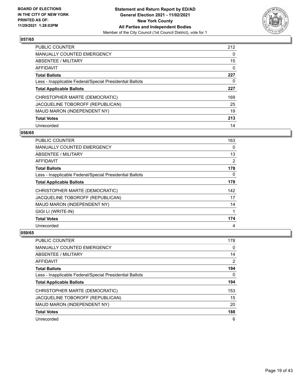

| <b>PUBLIC COUNTER</b>                                    | 212      |
|----------------------------------------------------------|----------|
| <b>MANUALLY COUNTED EMERGENCY</b>                        | $\Omega$ |
| ABSENTEE / MILITARY                                      | 15       |
| AFFIDAVIT                                                | $\Omega$ |
| <b>Total Ballots</b>                                     | 227      |
| Less - Inapplicable Federal/Special Presidential Ballots | 0        |
| <b>Total Applicable Ballots</b>                          | 227      |
| CHRISTOPHER MARTE (DEMOCRATIC)                           | 169      |
| JACQUELINE TOBOROFF (REPUBLICAN)                         | 25       |
| MAUD MARON (INDEPENDENT NY)                              | 19       |
| <b>Total Votes</b>                                       | 213      |
| Unrecorded                                               | 14       |

#### **058/65**

| PUBLIC COUNTER                                           | 163      |
|----------------------------------------------------------|----------|
| <b>MANUALLY COUNTED EMERGENCY</b>                        | $\Omega$ |
| ABSENTEE / MILITARY                                      | 13       |
| AFFIDAVIT                                                | 2        |
| <b>Total Ballots</b>                                     | 178      |
| Less - Inapplicable Federal/Special Presidential Ballots | 0        |
| <b>Total Applicable Ballots</b>                          | 178      |
| CHRISTOPHER MARTE (DEMOCRATIC)                           | 142      |
| JACQUELINE TOBOROFF (REPUBLICAN)                         | 17       |
| MAUD MARON (INDEPENDENT NY)                              | 14       |
| GIGI LI (WRITE-IN)                                       | 1        |
| <b>Total Votes</b>                                       | 174      |
| Unrecorded                                               | 4        |

| PUBLIC COUNTER                                           | 178 |
|----------------------------------------------------------|-----|
| <b>MANUALLY COUNTED EMERGENCY</b>                        | 0   |
| ABSENTEE / MILITARY                                      | 14  |
| AFFIDAVIT                                                | 2   |
| <b>Total Ballots</b>                                     | 194 |
| Less - Inapplicable Federal/Special Presidential Ballots | 0   |
| <b>Total Applicable Ballots</b>                          | 194 |
| CHRISTOPHER MARTE (DEMOCRATIC)                           | 153 |
| JACQUELINE TOBOROFF (REPUBLICAN)                         | 15  |
| MAUD MARON (INDEPENDENT NY)                              | 20  |
| <b>Total Votes</b>                                       | 188 |
| Unrecorded                                               | 6   |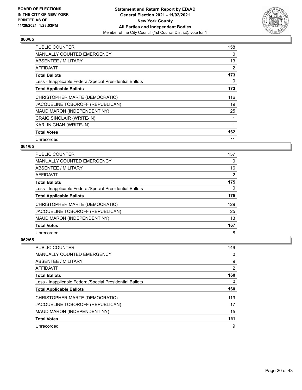

| <b>PUBLIC COUNTER</b>                                    | 158 |
|----------------------------------------------------------|-----|
| <b>MANUALLY COUNTED EMERGENCY</b>                        | 0   |
| ABSENTEE / MILITARY                                      | 13  |
| AFFIDAVIT                                                | 2   |
| <b>Total Ballots</b>                                     | 173 |
| Less - Inapplicable Federal/Special Presidential Ballots | 0   |
| <b>Total Applicable Ballots</b>                          | 173 |
| CHRISTOPHER MARTE (DEMOCRATIC)                           | 116 |
| JACQUELINE TOBOROFF (REPUBLICAN)                         | 19  |
| MAUD MARON (INDEPENDENT NY)                              | 25  |
| CRAIG SINCLAIR (WRITE-IN)                                | 1   |
| KARLIN CHAN (WRITE-IN)                                   | 1   |
| <b>Total Votes</b>                                       | 162 |
| Unrecorded                                               | 11  |

# **061/65**

| PUBLIC COUNTER                                           | 157 |
|----------------------------------------------------------|-----|
| <b>MANUALLY COUNTED EMERGENCY</b>                        | 0   |
| ABSENTEE / MILITARY                                      | 16  |
| AFFIDAVIT                                                | 2   |
| <b>Total Ballots</b>                                     | 175 |
| Less - Inapplicable Federal/Special Presidential Ballots | 0   |
| <b>Total Applicable Ballots</b>                          | 175 |
| CHRISTOPHER MARTE (DEMOCRATIC)                           | 129 |
| JACQUELINE TOBOROFF (REPUBLICAN)                         | 25  |
| MAUD MARON (INDEPENDENT NY)                              | 13  |
| <b>Total Votes</b>                                       | 167 |
| Unrecorded                                               | 8   |

| PUBLIC COUNTER                                           | 149 |
|----------------------------------------------------------|-----|
| <b>MANUALLY COUNTED EMERGENCY</b>                        | 0   |
| ABSENTEE / MILITARY                                      | 9   |
| AFFIDAVIT                                                | 2   |
| <b>Total Ballots</b>                                     | 160 |
| Less - Inapplicable Federal/Special Presidential Ballots | 0   |
| <b>Total Applicable Ballots</b>                          | 160 |
| CHRISTOPHER MARTE (DEMOCRATIC)                           | 119 |
| JACQUELINE TOBOROFF (REPUBLICAN)                         | 17  |
| MAUD MARON (INDEPENDENT NY)                              | 15  |
| <b>Total Votes</b>                                       | 151 |
| Unrecorded                                               | 9   |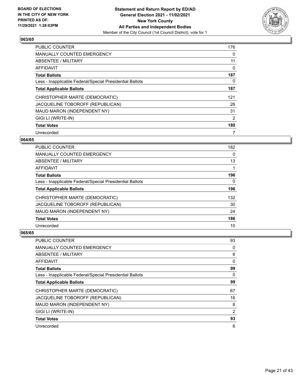

| <b>PUBLIC COUNTER</b>                                    | 176            |
|----------------------------------------------------------|----------------|
| MANUALLY COUNTED EMERGENCY                               | 0              |
| ABSENTEE / MILITARY                                      | 11             |
| AFFIDAVIT                                                | 0              |
| <b>Total Ballots</b>                                     | 187            |
| Less - Inapplicable Federal/Special Presidential Ballots | 0              |
| <b>Total Applicable Ballots</b>                          | 187            |
| CHRISTOPHER MARTE (DEMOCRATIC)                           | 121            |
| JACQUELINE TOBOROFF (REPUBLICAN)                         | 26             |
| MAUD MARON (INDEPENDENT NY)                              | 31             |
| GIGI LI (WRITE-IN)                                       | $\overline{2}$ |
| <b>Total Votes</b>                                       | 180            |
| Unrecorded                                               | 7              |

# **064/65**

| <b>PUBLIC COUNTER</b>                                    | 182 |
|----------------------------------------------------------|-----|
| <b>MANUALLY COUNTED EMERGENCY</b>                        | 0   |
| ABSENTEE / MILITARY                                      | 13  |
| AFFIDAVIT                                                |     |
| <b>Total Ballots</b>                                     | 196 |
| Less - Inapplicable Federal/Special Presidential Ballots | 0   |
| <b>Total Applicable Ballots</b>                          | 196 |
| CHRISTOPHER MARTE (DEMOCRATIC)                           | 132 |
| JACQUELINE TOBOROFF (REPUBLICAN)                         | 30  |
| MAUD MARON (INDEPENDENT NY)                              | 24  |
| <b>Total Votes</b>                                       | 186 |
| Unrecorded                                               | 10  |

| <b>PUBLIC COUNTER</b>                                    | 93       |
|----------------------------------------------------------|----------|
| MANUALLY COUNTED EMERGENCY                               | 0        |
| ABSENTEE / MILITARY                                      | 6        |
| AFFIDAVIT                                                | 0        |
| <b>Total Ballots</b>                                     | 99       |
| Less - Inapplicable Federal/Special Presidential Ballots | $\Omega$ |
| <b>Total Applicable Ballots</b>                          | 99       |
| CHRISTOPHER MARTE (DEMOCRATIC)                           | 67       |
| JACQUELINE TOBOROFF (REPUBLICAN)                         | 16       |
| MAUD MARON (INDEPENDENT NY)                              | 8        |
| GIGI LI (WRITE-IN)                                       | 2        |
| <b>Total Votes</b>                                       | 93       |
| Unrecorded                                               | 6        |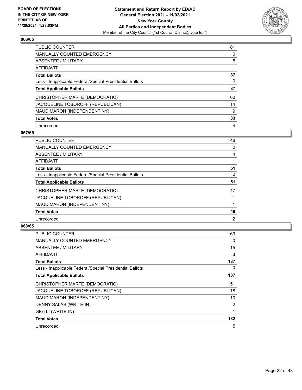

| <b>PUBLIC COUNTER</b>                                    | 81 |
|----------------------------------------------------------|----|
| <b>MANUALLY COUNTED EMERGENCY</b>                        | 0  |
| ABSENTEE / MILITARY                                      | 5  |
| AFFIDAVIT                                                |    |
| <b>Total Ballots</b>                                     | 87 |
| Less - Inapplicable Federal/Special Presidential Ballots | 0  |
| <b>Total Applicable Ballots</b>                          | 87 |
| CHRISTOPHER MARTE (DEMOCRATIC)                           | 60 |
| JACQUELINE TOBOROFF (REPUBLICAN)                         | 14 |
| MAUD MARON (INDEPENDENT NY)                              | 9  |
| <b>Total Votes</b>                                       | 83 |
| Unrecorded                                               | 4  |

#### **067/65**

| <b>PUBLIC COUNTER</b>                                    | 46             |
|----------------------------------------------------------|----------------|
| <b>MANUALLY COUNTED EMERGENCY</b>                        | 0              |
| <b>ABSENTEE / MILITARY</b>                               | 4              |
| <b>AFFIDAVIT</b>                                         |                |
| <b>Total Ballots</b>                                     | 51             |
| Less - Inapplicable Federal/Special Presidential Ballots | 0              |
| <b>Total Applicable Ballots</b>                          | 51             |
| CHRISTOPHER MARTE (DEMOCRATIC)                           | 47             |
| JACQUELINE TOBOROFF (REPUBLICAN)                         |                |
| MAUD MARON (INDEPENDENT NY)                              |                |
| <b>Total Votes</b>                                       | 49             |
| Unrecorded                                               | $\overline{2}$ |

| <b>PUBLIC COUNTER</b>                                    | 169 |
|----------------------------------------------------------|-----|
| <b>MANUALLY COUNTED EMERGENCY</b>                        | 0   |
| ABSENTEE / MILITARY                                      | 15  |
| AFFIDAVIT                                                | 3   |
| <b>Total Ballots</b>                                     | 187 |
| Less - Inapplicable Federal/Special Presidential Ballots | 0   |
| <b>Total Applicable Ballots</b>                          | 187 |
| CHRISTOPHER MARTE (DEMOCRATIC)                           | 151 |
| JACQUELINE TOBOROFF (REPUBLICAN)                         | 18  |
| MAUD MARON (INDEPENDENT NY)                              | 10  |
| DENNY SALAS (WRITE-IN)                                   | 2   |
| GIGI LI (WRITE-IN)                                       | 1   |
| <b>Total Votes</b>                                       | 182 |
| Unrecorded                                               | 5   |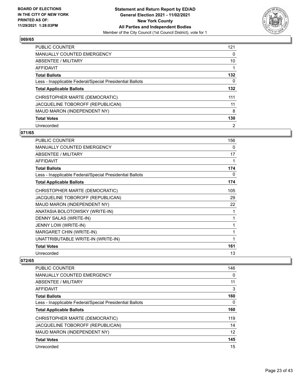

| <b>PUBLIC COUNTER</b>                                    | 121      |
|----------------------------------------------------------|----------|
| <b>MANUALLY COUNTED EMERGENCY</b>                        | $\Omega$ |
| ABSENTEE / MILITARY                                      | 10       |
| <b>AFFIDAVIT</b>                                         |          |
| <b>Total Ballots</b>                                     | 132      |
| Less - Inapplicable Federal/Special Presidential Ballots | 0        |
| <b>Total Applicable Ballots</b>                          | 132      |
| CHRISTOPHER MARTE (DEMOCRATIC)                           | 111      |
| JACQUELINE TOBOROFF (REPUBLICAN)                         | 11       |
| MAUD MARON (INDEPENDENT NY)                              | 8        |
| <b>Total Votes</b>                                       | 130      |
| Unrecorded                                               | 2        |

### **071/65**

| PUBLIC COUNTER                                           | 156 |
|----------------------------------------------------------|-----|
| <b>MANUALLY COUNTED EMERGENCY</b>                        | 0   |
| ABSENTEE / MILITARY                                      | 17  |
| <b>AFFIDAVIT</b>                                         | 1   |
| <b>Total Ballots</b>                                     | 174 |
| Less - Inapplicable Federal/Special Presidential Ballots | 0   |
| <b>Total Applicable Ballots</b>                          | 174 |
| CHRISTOPHER MARTE (DEMOCRATIC)                           | 105 |
| JACQUELINE TOBOROFF (REPUBLICAN)                         | 29  |
| MAUD MARON (INDEPENDENT NY)                              | 22  |
| ANATASIA BOLOTOWSKY (WRITE-IN)                           | 1   |
| DENNY SALAS (WRITE-IN)                                   | 1   |
| JENNY LOW (WRITE-IN)                                     | 1   |
| MARGARET CHIN (WRITE-IN)                                 | 1   |
| UNATTRIBUTABLE WRITE-IN (WRITE-IN)                       | 1   |
| <b>Total Votes</b>                                       | 161 |
| Unrecorded                                               | 13  |

| <b>PUBLIC COUNTER</b>                                    | 146 |
|----------------------------------------------------------|-----|
| MANUALLY COUNTED EMERGENCY                               | 0   |
| ABSENTEE / MILITARY                                      | 11  |
| AFFIDAVIT                                                | 3   |
| <b>Total Ballots</b>                                     | 160 |
| Less - Inapplicable Federal/Special Presidential Ballots | 0   |
| <b>Total Applicable Ballots</b>                          | 160 |
| CHRISTOPHER MARTE (DEMOCRATIC)                           | 119 |
| JACQUELINE TOBOROFF (REPUBLICAN)                         | 14  |
| MAUD MARON (INDEPENDENT NY)                              | 12  |
| <b>Total Votes</b>                                       | 145 |
| Unrecorded                                               | 15  |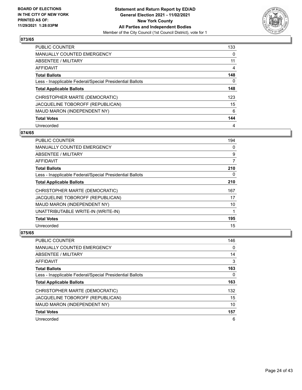

| <b>PUBLIC COUNTER</b>                                    | 133      |
|----------------------------------------------------------|----------|
| <b>MANUALLY COUNTED EMERGENCY</b>                        | $\Omega$ |
| ABSENTEE / MILITARY                                      | 11       |
| AFFIDAVIT                                                | 4        |
| <b>Total Ballots</b>                                     | 148      |
| Less - Inapplicable Federal/Special Presidential Ballots | 0        |
| <b>Total Applicable Ballots</b>                          | 148      |
| CHRISTOPHER MARTE (DEMOCRATIC)                           | 123      |
| JACQUELINE TOBOROFF (REPUBLICAN)                         | 15       |
| MAUD MARON (INDEPENDENT NY)                              | 6        |
| <b>Total Votes</b>                                       | 144      |
| Unrecorded                                               | 4        |

#### **074/65**

| <b>PUBLIC COUNTER</b>                                    | 194      |
|----------------------------------------------------------|----------|
| <b>MANUALLY COUNTED EMERGENCY</b>                        | 0        |
| ABSENTEE / MILITARY                                      | 9        |
| <b>AFFIDAVIT</b>                                         | 7        |
| <b>Total Ballots</b>                                     | 210      |
| Less - Inapplicable Federal/Special Presidential Ballots | $\Omega$ |
| <b>Total Applicable Ballots</b>                          | 210      |
| CHRISTOPHER MARTE (DEMOCRATIC)                           | 167      |
| JACQUELINE TOBOROFF (REPUBLICAN)                         | 17       |
| MAUD MARON (INDEPENDENT NY)                              | 10       |
| UNATTRIBUTABLE WRITE-IN (WRITE-IN)                       |          |
| <b>Total Votes</b>                                       | 195      |
| Unrecorded                                               | 15       |

| PUBLIC COUNTER                                           | 146 |
|----------------------------------------------------------|-----|
| <b>MANUALLY COUNTED EMERGENCY</b>                        | 0   |
| ABSENTEE / MILITARY                                      | 14  |
| AFFIDAVIT                                                | 3   |
| <b>Total Ballots</b>                                     | 163 |
| Less - Inapplicable Federal/Special Presidential Ballots | 0   |
| <b>Total Applicable Ballots</b>                          | 163 |
| CHRISTOPHER MARTE (DEMOCRATIC)                           | 132 |
| JACQUELINE TOBOROFF (REPUBLICAN)                         | 15  |
| MAUD MARON (INDEPENDENT NY)                              | 10  |
| <b>Total Votes</b>                                       | 157 |
| Unrecorded                                               | 6   |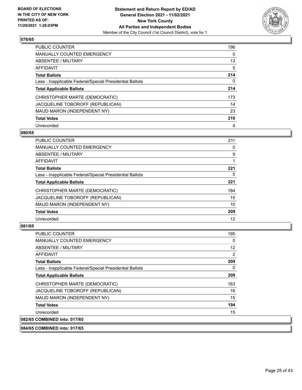

| <b>PUBLIC COUNTER</b>                                    | 196      |
|----------------------------------------------------------|----------|
| <b>MANUALLY COUNTED EMERGENCY</b>                        | $\Omega$ |
| ABSENTEE / MILITARY                                      | 13       |
| AFFIDAVIT                                                | 5        |
| <b>Total Ballots</b>                                     | 214      |
| Less - Inapplicable Federal/Special Presidential Ballots | 0        |
| <b>Total Applicable Ballots</b>                          | 214      |
| CHRISTOPHER MARTE (DEMOCRATIC)                           | 173      |
| JACQUELINE TOBOROFF (REPUBLICAN)                         | 14       |
| MAUD MARON (INDEPENDENT NY)                              | 23       |
| <b>Total Votes</b>                                       | 210      |
| Unrecorded                                               | 4        |

#### **080/65**

| <b>PUBLIC COUNTER</b>                                    | 211 |
|----------------------------------------------------------|-----|
| <b>MANUALLY COUNTED EMERGENCY</b>                        | 0   |
| ABSENTEE / MILITARY                                      | 9   |
| <b>AFFIDAVIT</b>                                         |     |
| <b>Total Ballots</b>                                     | 221 |
| Less - Inapplicable Federal/Special Presidential Ballots | 0   |
| <b>Total Applicable Ballots</b>                          | 221 |
| CHRISTOPHER MARTE (DEMOCRATIC)                           | 184 |
| JACQUELINE TOBOROFF (REPUBLICAN)                         | 15  |
| MAUD MARON (INDEPENDENT NY)                              | 10  |
| <b>Total Votes</b>                                       | 209 |
| Unrecorded                                               | 12  |

# **081/65**

| <b>PUBLIC COUNTER</b>                                    | 195 |
|----------------------------------------------------------|-----|
| <b>MANUALLY COUNTED EMERGENCY</b>                        | 0   |
| ABSENTEE / MILITARY                                      | 12  |
| AFFIDAVIT                                                | 2   |
| <b>Total Ballots</b>                                     | 209 |
| Less - Inapplicable Federal/Special Presidential Ballots | 0   |
| <b>Total Applicable Ballots</b>                          | 209 |
| CHRISTOPHER MARTE (DEMOCRATIC)                           | 163 |
| JACQUELINE TOBOROFF (REPUBLICAN)                         | 16  |
| MAUD MARON (INDEPENDENT NY)                              | 15  |
| <b>Total Votes</b>                                       | 194 |
| Unrecorded                                               | 15  |
| 082/65 COMBINED into: 017/65                             |     |

**084/65 COMBINED into: 017/65**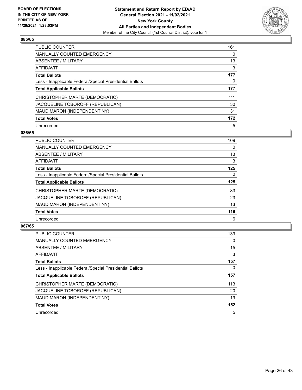

| <b>PUBLIC COUNTER</b>                                    | 161      |
|----------------------------------------------------------|----------|
| <b>MANUALLY COUNTED EMERGENCY</b>                        | $\Omega$ |
| ABSENTEE / MILITARY                                      | 13       |
| <b>AFFIDAVIT</b>                                         | 3        |
| <b>Total Ballots</b>                                     | 177      |
| Less - Inapplicable Federal/Special Presidential Ballots | 0        |
| <b>Total Applicable Ballots</b>                          | 177      |
| CHRISTOPHER MARTE (DEMOCRATIC)                           | 111      |
| JACQUELINE TOBOROFF (REPUBLICAN)                         | 30       |
| MAUD MARON (INDEPENDENT NY)                              | 31       |
| <b>Total Votes</b>                                       | 172      |
| Unrecorded                                               | 5        |

#### **086/65**

| <b>PUBLIC COUNTER</b>                                    | 109      |
|----------------------------------------------------------|----------|
| MANUALLY COUNTED EMERGENCY                               | 0        |
| ABSENTEE / MILITARY                                      | 13       |
| <b>AFFIDAVIT</b>                                         | 3        |
| <b>Total Ballots</b>                                     | 125      |
| Less - Inapplicable Federal/Special Presidential Ballots | $\Omega$ |
| <b>Total Applicable Ballots</b>                          | 125      |
| CHRISTOPHER MARTE (DEMOCRATIC)                           | 83       |
| JACQUELINE TOBOROFF (REPUBLICAN)                         | 23       |
| MAUD MARON (INDEPENDENT NY)                              | 13       |
| <b>Total Votes</b>                                       | 119      |
| Unrecorded                                               | 6        |

| <b>PUBLIC COUNTER</b>                                    | 139      |
|----------------------------------------------------------|----------|
| <b>MANUALLY COUNTED EMERGENCY</b>                        | $\Omega$ |
| ABSENTEE / MILITARY                                      | 15       |
| AFFIDAVIT                                                | 3        |
| <b>Total Ballots</b>                                     | 157      |
| Less - Inapplicable Federal/Special Presidential Ballots | 0        |
| <b>Total Applicable Ballots</b>                          | 157      |
| CHRISTOPHER MARTE (DEMOCRATIC)                           | 113      |
| JACQUELINE TOBOROFF (REPUBLICAN)                         | 20       |
| MAUD MARON (INDEPENDENT NY)                              | 19       |
| <b>Total Votes</b>                                       | 152      |
| Unrecorded                                               | 5        |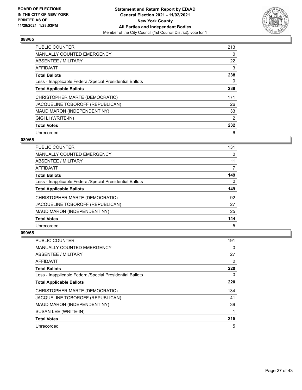

| <b>PUBLIC COUNTER</b>                                    | 213            |
|----------------------------------------------------------|----------------|
| <b>MANUALLY COUNTED EMERGENCY</b>                        | 0              |
| ABSENTEE / MILITARY                                      | 22             |
| <b>AFFIDAVIT</b>                                         | 3              |
| <b>Total Ballots</b>                                     | 238            |
| Less - Inapplicable Federal/Special Presidential Ballots | $\Omega$       |
| <b>Total Applicable Ballots</b>                          | 238            |
| CHRISTOPHER MARTE (DEMOCRATIC)                           | 171            |
| JACQUELINE TOBOROFF (REPUBLICAN)                         | 26             |
| MAUD MARON (INDEPENDENT NY)                              | 33             |
| GIGI LI (WRITE-IN)                                       | $\overline{2}$ |
| <b>Total Votes</b>                                       | 232            |
| Unrecorded                                               | 6              |

# **089/65**

| <b>PUBLIC COUNTER</b>                                    | 131 |
|----------------------------------------------------------|-----|
| <b>MANUALLY COUNTED EMERGENCY</b>                        | 0   |
| ABSENTEE / MILITARY                                      | 11  |
| AFFIDAVIT                                                | 7   |
| <b>Total Ballots</b>                                     | 149 |
| Less - Inapplicable Federal/Special Presidential Ballots | 0   |
|                                                          |     |
| <b>Total Applicable Ballots</b>                          | 149 |
| CHRISTOPHER MARTE (DEMOCRATIC)                           | 92  |
| JACQUELINE TOBOROFF (REPUBLICAN)                         | 27  |
| MAUD MARON (INDEPENDENT NY)                              | 25  |
| <b>Total Votes</b>                                       | 144 |

| <b>PUBLIC COUNTER</b>                                    | 191 |
|----------------------------------------------------------|-----|
| MANUALLY COUNTED EMERGENCY                               | 0   |
| ABSENTEE / MILITARY                                      | 27  |
| AFFIDAVIT                                                | 2   |
| <b>Total Ballots</b>                                     | 220 |
| Less - Inapplicable Federal/Special Presidential Ballots | 0   |
| <b>Total Applicable Ballots</b>                          | 220 |
| CHRISTOPHER MARTE (DEMOCRATIC)                           | 134 |
| JACQUELINE TOBOROFF (REPUBLICAN)                         | 41  |
| MAUD MARON (INDEPENDENT NY)                              | 39  |
| SUSAN LEE (WRITE-IN)                                     |     |
| <b>Total Votes</b>                                       | 215 |
| Unrecorded                                               | 5   |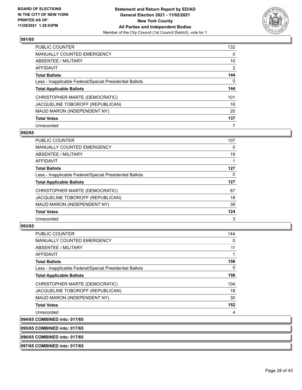

| <b>PUBLIC COUNTER</b>                                    | 132            |
|----------------------------------------------------------|----------------|
| <b>MANUALLY COUNTED EMERGENCY</b>                        | $\Omega$       |
| ABSENTEE / MILITARY                                      | 10             |
| AFFIDAVIT                                                | $\overline{2}$ |
| <b>Total Ballots</b>                                     | 144            |
| Less - Inapplicable Federal/Special Presidential Ballots | 0              |
| <b>Total Applicable Ballots</b>                          | 144            |
| CHRISTOPHER MARTE (DEMOCRATIC)                           | 101            |
| JACQUELINE TOBOROFF (REPUBLICAN)                         | 16             |
| MAUD MARON (INDEPENDENT NY)                              | 20             |
| <b>Total Votes</b>                                       | 137            |
| Unrecorded                                               | 7              |

#### **092/65**

| <b>PUBLIC COUNTER</b>                                    | 107 |
|----------------------------------------------------------|-----|
| MANUALLY COUNTED EMERGENCY                               | 0   |
| ABSENTEE / MILITARY                                      | 19  |
| <b>AFFIDAVIT</b>                                         |     |
| <b>Total Ballots</b>                                     | 127 |
| Less - Inapplicable Federal/Special Presidential Ballots | 0   |
| <b>Total Applicable Ballots</b>                          | 127 |
| CHRISTOPHER MARTE (DEMOCRATIC)                           | 67  |
| JACQUELINE TOBOROFF (REPUBLICAN)                         | 18  |
| MAUD MARON (INDEPENDENT NY)                              | 39  |
| <b>Total Votes</b>                                       | 124 |
| Unrecorded                                               | 3   |

#### **093/65**

| <b>PUBLIC COUNTER</b>                                    | 144         |
|----------------------------------------------------------|-------------|
| <b>MANUALLY COUNTED EMERGENCY</b>                        | 0           |
| ABSENTEE / MILITARY                                      | 11          |
| AFFIDAVIT                                                | $\mathbf 1$ |
| <b>Total Ballots</b>                                     | 156         |
| Less - Inapplicable Federal/Special Presidential Ballots | 0           |
| <b>Total Applicable Ballots</b>                          | 156         |
| CHRISTOPHER MARTE (DEMOCRATIC)                           | 104         |
| JACQUELINE TOBOROFF (REPUBLICAN)                         | 18          |
| MAUD MARON (INDEPENDENT NY)                              | 30          |
| <b>Total Votes</b>                                       | 152         |
| Unrecorded                                               | 4           |
| 094/65 COMBINED into: 017/65                             |             |

**095/65 COMBINED into: 017/65**

**096/65 COMBINED into: 017/65**

#### **097/65 COMBINED into: 017/65**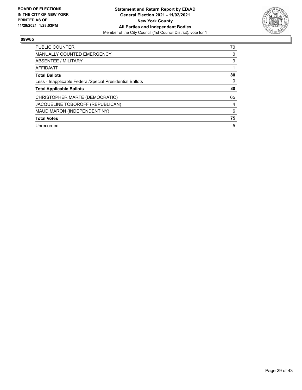

| <b>PUBLIC COUNTER</b>                                    | 70 |
|----------------------------------------------------------|----|
| <b>MANUALLY COUNTED EMERGENCY</b>                        | 0  |
| ABSENTEE / MILITARY                                      | 9  |
| <b>AFFIDAVIT</b>                                         |    |
| <b>Total Ballots</b>                                     | 80 |
| Less - Inapplicable Federal/Special Presidential Ballots | 0  |
| <b>Total Applicable Ballots</b>                          | 80 |
| CHRISTOPHER MARTE (DEMOCRATIC)                           | 65 |
| JACQUELINE TOBOROFF (REPUBLICAN)                         | 4  |
| MAUD MARON (INDEPENDENT NY)                              | 6  |
|                                                          |    |
| <b>Total Votes</b>                                       | 75 |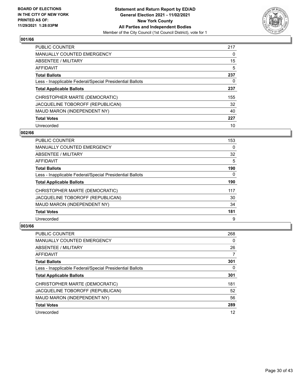

| <b>PUBLIC COUNTER</b>                                    | 217 |
|----------------------------------------------------------|-----|
| <b>MANUALLY COUNTED EMERGENCY</b>                        | 0   |
| ABSENTEE / MILITARY                                      | 15  |
| AFFIDAVIT                                                | 5   |
| <b>Total Ballots</b>                                     | 237 |
| Less - Inapplicable Federal/Special Presidential Ballots | 0   |
| <b>Total Applicable Ballots</b>                          | 237 |
| CHRISTOPHER MARTE (DEMOCRATIC)                           | 155 |
| JACQUELINE TOBOROFF (REPUBLICAN)                         | 32  |
| MAUD MARON (INDEPENDENT NY)                              | 40  |
| <b>Total Votes</b>                                       | 227 |
| Unrecorded                                               | 10  |

#### **002/66**

| <b>PUBLIC COUNTER</b>                                    | 153      |
|----------------------------------------------------------|----------|
| <b>MANUALLY COUNTED EMERGENCY</b>                        | 0        |
| ABSENTEE / MILITARY                                      | 32       |
| <b>AFFIDAVIT</b>                                         | 5        |
| <b>Total Ballots</b>                                     | 190      |
| Less - Inapplicable Federal/Special Presidential Ballots | $\Omega$ |
| <b>Total Applicable Ballots</b>                          | 190      |
| CHRISTOPHER MARTE (DEMOCRATIC)                           | 117      |
| JACQUELINE TOBOROFF (REPUBLICAN)                         | 30       |
| MAUD MARON (INDEPENDENT NY)                              | 34       |
| <b>Total Votes</b>                                       | 181      |
| Unrecorded                                               | 9        |

| <b>PUBLIC COUNTER</b>                                    | 268      |
|----------------------------------------------------------|----------|
| <b>MANUALLY COUNTED EMERGENCY</b>                        | $\Omega$ |
| ABSENTEE / MILITARY                                      | 26       |
| AFFIDAVIT                                                | 7        |
| <b>Total Ballots</b>                                     | 301      |
| Less - Inapplicable Federal/Special Presidential Ballots | 0        |
| <b>Total Applicable Ballots</b>                          | 301      |
| CHRISTOPHER MARTE (DEMOCRATIC)                           | 181      |
| JACQUELINE TOBOROFF (REPUBLICAN)                         | 52       |
| MAUD MARON (INDEPENDENT NY)                              | 56       |
| <b>Total Votes</b>                                       | 289      |
| Unrecorded                                               | 12       |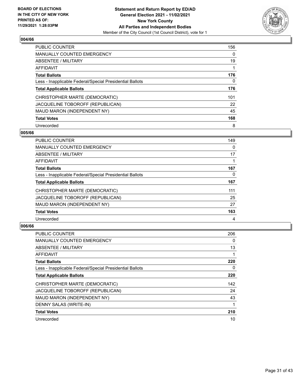

| <b>PUBLIC COUNTER</b>                                    | 156      |
|----------------------------------------------------------|----------|
| <b>MANUALLY COUNTED EMERGENCY</b>                        | $\Omega$ |
| ABSENTEE / MILITARY                                      | 19       |
| <b>AFFIDAVIT</b>                                         |          |
| <b>Total Ballots</b>                                     | 176      |
| Less - Inapplicable Federal/Special Presidential Ballots | 0        |
| <b>Total Applicable Ballots</b>                          | 176      |
| CHRISTOPHER MARTE (DEMOCRATIC)                           | 101      |
| JACQUELINE TOBOROFF (REPUBLICAN)                         | 22       |
| MAUD MARON (INDEPENDENT NY)                              | 45       |
| <b>Total Votes</b>                                       | 168      |
| Unrecorded                                               | 8        |

#### **005/66**

| <b>PUBLIC COUNTER</b>                                    | 149 |
|----------------------------------------------------------|-----|
| <b>MANUALLY COUNTED EMERGENCY</b>                        | 0   |
| ABSENTEE / MILITARY                                      | 17  |
| <b>AFFIDAVIT</b>                                         |     |
| <b>Total Ballots</b>                                     | 167 |
| Less - Inapplicable Federal/Special Presidential Ballots | 0   |
| <b>Total Applicable Ballots</b>                          | 167 |
| CHRISTOPHER MARTE (DEMOCRATIC)                           | 111 |
| JACQUELINE TOBOROFF (REPUBLICAN)                         | 25  |
| MAUD MARON (INDEPENDENT NY)                              | 27  |
| <b>Total Votes</b>                                       | 163 |
| Unrecorded                                               | 4   |

| <b>PUBLIC COUNTER</b>                                    | 206      |
|----------------------------------------------------------|----------|
| <b>MANUALLY COUNTED EMERGENCY</b>                        | 0        |
| ABSENTEE / MILITARY                                      | 13       |
| AFFIDAVIT                                                | 1        |
| <b>Total Ballots</b>                                     | 220      |
| Less - Inapplicable Federal/Special Presidential Ballots | $\Omega$ |
| <b>Total Applicable Ballots</b>                          | 220      |
| CHRISTOPHER MARTE (DEMOCRATIC)                           | 142      |
| JACQUELINE TOBOROFF (REPUBLICAN)                         | 24       |
| MAUD MARON (INDEPENDENT NY)                              | 43       |
| DENNY SALAS (WRITE-IN)                                   | 1        |
| <b>Total Votes</b>                                       | 210      |
| Unrecorded                                               | 10       |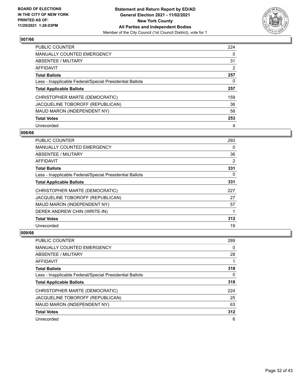

| <b>PUBLIC COUNTER</b>                                    | 224      |
|----------------------------------------------------------|----------|
| <b>MANUALLY COUNTED EMERGENCY</b>                        | $\Omega$ |
| ABSENTEE / MILITARY                                      | 31       |
| <b>AFFIDAVIT</b>                                         | 2        |
| <b>Total Ballots</b>                                     | 257      |
| Less - Inapplicable Federal/Special Presidential Ballots | 0        |
| <b>Total Applicable Ballots</b>                          | 257      |
| CHRISTOPHER MARTE (DEMOCRATIC)                           | 159      |
| JACQUELINE TOBOROFF (REPUBLICAN)                         | 36       |
| MAUD MARON (INDEPENDENT NY)                              | 58       |
| <b>Total Votes</b>                                       | 253      |
| Unrecorded                                               | 4        |

#### **008/66**

| <b>PUBLIC COUNTER</b>                                    | 293 |
|----------------------------------------------------------|-----|
| MANUALLY COUNTED EMERGENCY                               | 0   |
| ABSENTEE / MILITARY                                      | 36  |
| AFFIDAVIT                                                | 2   |
| <b>Total Ballots</b>                                     | 331 |
| Less - Inapplicable Federal/Special Presidential Ballots | 0   |
| <b>Total Applicable Ballots</b>                          | 331 |
| CHRISTOPHER MARTE (DEMOCRATIC)                           | 227 |
| JACQUELINE TOBOROFF (REPUBLICAN)                         | 27  |
| MAUD MARON (INDEPENDENT NY)                              | 57  |
| DEREK ANDREW CHIN (WRITE-IN)                             |     |
| <b>Total Votes</b>                                       | 312 |
| Unrecorded                                               | 19  |

| PUBLIC COUNTER                                           | 289 |
|----------------------------------------------------------|-----|
| <b>MANUALLY COUNTED EMERGENCY</b>                        | 0   |
| ABSENTEE / MILITARY                                      | 28  |
| AFFIDAVIT                                                |     |
| <b>Total Ballots</b>                                     | 318 |
| Less - Inapplicable Federal/Special Presidential Ballots | 0   |
| <b>Total Applicable Ballots</b>                          | 318 |
| CHRISTOPHER MARTE (DEMOCRATIC)                           | 224 |
| JACQUELINE TOBOROFF (REPUBLICAN)                         | 25  |
| MAUD MARON (INDEPENDENT NY)                              | 63  |
| <b>Total Votes</b>                                       | 312 |
| Unrecorded                                               | 6   |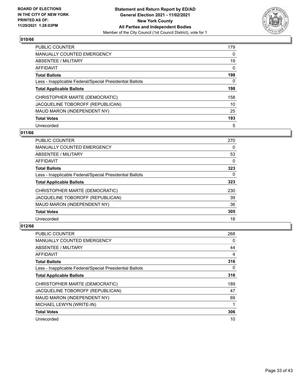

| <b>PUBLIC COUNTER</b>                                    | 179      |
|----------------------------------------------------------|----------|
| <b>MANUALLY COUNTED EMERGENCY</b>                        | $\Omega$ |
| ABSENTEE / MILITARY                                      | 19       |
| AFFIDAVIT                                                | $\Omega$ |
| <b>Total Ballots</b>                                     | 198      |
| Less - Inapplicable Federal/Special Presidential Ballots | 0        |
| <b>Total Applicable Ballots</b>                          | 198      |
| CHRISTOPHER MARTE (DEMOCRATIC)                           | 158      |
| JACQUELINE TOBOROFF (REPUBLICAN)                         | 10       |
| MAUD MARON (INDEPENDENT NY)                              | 25       |
| <b>Total Votes</b>                                       | 193      |
| Unrecorded                                               | 5        |

# **011/66**

| <b>PUBLIC COUNTER</b>                                    | 270      |
|----------------------------------------------------------|----------|
| <b>MANUALLY COUNTED EMERGENCY</b>                        | $\Omega$ |
| <b>ABSENTEE / MILITARY</b>                               | 53       |
| <b>AFFIDAVIT</b>                                         | 0        |
| <b>Total Ballots</b>                                     | 323      |
| Less - Inapplicable Federal/Special Presidential Ballots | $\Omega$ |
| <b>Total Applicable Ballots</b>                          | 323      |
| CHRISTOPHER MARTE (DEMOCRATIC)                           | 230      |
| JACQUELINE TOBOROFF (REPUBLICAN)                         | 39       |
| MAUD MARON (INDEPENDENT NY)                              | 36       |
| <b>Total Votes</b>                                       | 305      |
| Unrecorded                                               | 18       |

| <b>PUBLIC COUNTER</b>                                    | 268      |
|----------------------------------------------------------|----------|
| <b>MANUALLY COUNTED EMERGENCY</b>                        | $\Omega$ |
| ABSENTEE / MILITARY                                      | 44       |
| AFFIDAVIT                                                | 4        |
| <b>Total Ballots</b>                                     | 316      |
| Less - Inapplicable Federal/Special Presidential Ballots | $\Omega$ |
| <b>Total Applicable Ballots</b>                          | 316      |
| CHRISTOPHER MARTE (DEMOCRATIC)                           | 189      |
| JACQUELINE TOBOROFF (REPUBLICAN)                         | 47       |
| MAUD MARON (INDEPENDENT NY)                              | 69       |
| MICHAEL LEWYN (WRITE-IN)                                 |          |
| <b>Total Votes</b>                                       | 306      |
| Unrecorded                                               | 10       |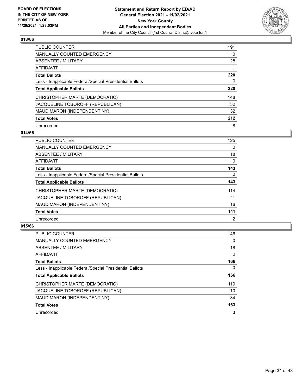

| PUBLIC COUNTER                                           | 191      |
|----------------------------------------------------------|----------|
| <b>MANUALLY COUNTED EMERGENCY</b>                        | $\Omega$ |
| ABSENTEE / MILITARY                                      | 28       |
| AFFIDAVIT                                                |          |
| <b>Total Ballots</b>                                     | 220      |
| Less - Inapplicable Federal/Special Presidential Ballots | 0        |
| <b>Total Applicable Ballots</b>                          | 220      |
| CHRISTOPHER MARTE (DEMOCRATIC)                           | 148      |
| JACQUELINE TOBOROFF (REPUBLICAN)                         | 32       |
| MAUD MARON (INDEPENDENT NY)                              | 32       |
| <b>Total Votes</b>                                       | 212      |
| Unrecorded                                               | 8        |

#### **014/66**

| <b>PUBLIC COUNTER</b>                                    | 125            |
|----------------------------------------------------------|----------------|
| MANUALLY COUNTED EMERGENCY                               | $\Omega$       |
| ABSENTEE / MILITARY                                      | 18             |
| <b>AFFIDAVIT</b>                                         | $\Omega$       |
| <b>Total Ballots</b>                                     | 143            |
| Less - Inapplicable Federal/Special Presidential Ballots | $\Omega$       |
| <b>Total Applicable Ballots</b>                          | 143            |
| CHRISTOPHER MARTE (DEMOCRATIC)                           | 114            |
| JACQUELINE TOBOROFF (REPUBLICAN)                         | 11             |
| MAUD MARON (INDEPENDENT NY)                              | 16             |
| <b>Total Votes</b>                                       | 141            |
| Unrecorded                                               | $\overline{2}$ |

| <b>PUBLIC COUNTER</b>                                    | 146            |
|----------------------------------------------------------|----------------|
| <b>MANUALLY COUNTED EMERGENCY</b>                        | $\Omega$       |
| ABSENTEE / MILITARY                                      | 18             |
| <b>AFFIDAVIT</b>                                         | $\overline{2}$ |
| <b>Total Ballots</b>                                     | 166            |
| Less - Inapplicable Federal/Special Presidential Ballots | 0              |
| <b>Total Applicable Ballots</b>                          | 166            |
| CHRISTOPHER MARTE (DEMOCRATIC)                           | 119            |
| JACQUELINE TOBOROFF (REPUBLICAN)                         | 10             |
| MAUD MARON (INDEPENDENT NY)                              | 34             |
| <b>Total Votes</b>                                       | 163            |
| Unrecorded                                               | 3              |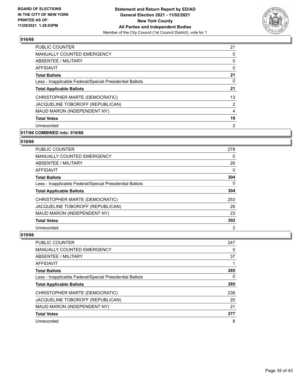

| <b>PUBLIC COUNTER</b>                                    | 21             |
|----------------------------------------------------------|----------------|
| <b>MANUALLY COUNTED EMERGENCY</b>                        | 0              |
| ABSENTEE / MILITARY                                      | 0              |
| <b>AFFIDAVIT</b>                                         | 0              |
| <b>Total Ballots</b>                                     | 21             |
| Less - Inapplicable Federal/Special Presidential Ballots | 0              |
| <b>Total Applicable Ballots</b>                          | 21             |
| CHRISTOPHER MARTE (DEMOCRATIC)                           | 13             |
| JACQUELINE TOBOROFF (REPUBLICAN)                         | 2              |
| MAUD MARON (INDEPENDENT NY)                              | 4              |
| <b>Total Votes</b>                                       | 19             |
| Unrecorded                                               | $\overline{2}$ |

# **017/66 COMBINED into: 016/66**

# **018/66**

| <b>PUBLIC COUNTER</b>                                    | 278            |
|----------------------------------------------------------|----------------|
| <b>MANUALLY COUNTED EMERGENCY</b>                        | 0              |
| ABSENTEE / MILITARY                                      | 26             |
| AFFIDAVIT                                                | 0              |
| <b>Total Ballots</b>                                     | 304            |
| Less - Inapplicable Federal/Special Presidential Ballots | 0              |
| <b>Total Applicable Ballots</b>                          | 304            |
| CHRISTOPHER MARTE (DEMOCRATIC)                           | 253            |
| JACQUELINE TOBOROFF (REPUBLICAN)                         | 26             |
| MAUD MARON (INDEPENDENT NY)                              | 23             |
| <b>Total Votes</b>                                       | 302            |
| Unrecorded                                               | $\overline{2}$ |

| <b>PUBLIC COUNTER</b>                                    | 247 |
|----------------------------------------------------------|-----|
| <b>MANUALLY COUNTED EMERGENCY</b>                        | 0   |
| ABSENTEE / MILITARY                                      | 37  |
| AFFIDAVIT                                                |     |
| <b>Total Ballots</b>                                     | 285 |
| Less - Inapplicable Federal/Special Presidential Ballots | 0   |
| <b>Total Applicable Ballots</b>                          | 285 |
| CHRISTOPHER MARTE (DEMOCRATIC)                           | 236 |
| JACQUELINE TOBOROFF (REPUBLICAN)                         | 20  |
| MAUD MARON (INDEPENDENT NY)                              | 21  |
| <b>Total Votes</b>                                       | 277 |
| Unrecorded                                               | 8   |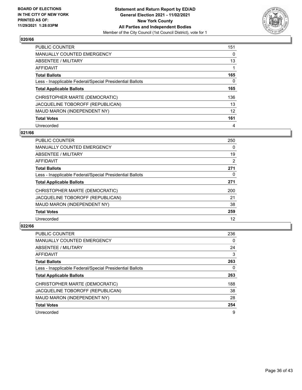

| <b>PUBLIC COUNTER</b>                                    | 151      |
|----------------------------------------------------------|----------|
| <b>MANUALLY COUNTED EMERGENCY</b>                        | $\Omega$ |
| ABSENTEE / MILITARY                                      | 13       |
| <b>AFFIDAVIT</b>                                         |          |
| <b>Total Ballots</b>                                     | 165      |
| Less - Inapplicable Federal/Special Presidential Ballots | 0        |
| <b>Total Applicable Ballots</b>                          | 165      |
| CHRISTOPHER MARTE (DEMOCRATIC)                           | 136      |
| JACQUELINE TOBOROFF (REPUBLICAN)                         | 13       |
| MAUD MARON (INDEPENDENT NY)                              | 12       |
| <b>Total Votes</b>                                       | 161      |
| Unrecorded                                               | 4        |

#### **021/66**

| <b>PUBLIC COUNTER</b>                                    | 250            |
|----------------------------------------------------------|----------------|
| <b>MANUALLY COUNTED EMERGENCY</b>                        | 0              |
| <b>ABSENTEE / MILITARY</b>                               | 19             |
| <b>AFFIDAVIT</b>                                         | $\overline{2}$ |
| <b>Total Ballots</b>                                     | 271            |
| Less - Inapplicable Federal/Special Presidential Ballots | 0              |
| <b>Total Applicable Ballots</b>                          | 271            |
| CHRISTOPHER MARTE (DEMOCRATIC)                           | 200            |
| JACQUELINE TOBOROFF (REPUBLICAN)                         | 21             |
| MAUD MARON (INDEPENDENT NY)                              | 38             |
| <b>Total Votes</b>                                       | 259            |
| Unrecorded                                               | 12             |

| <b>PUBLIC COUNTER</b>                                    | 236      |
|----------------------------------------------------------|----------|
| MANUALLY COUNTED EMERGENCY                               | $\Omega$ |
| <b>ABSENTEE / MILITARY</b>                               | 24       |
| <b>AFFIDAVIT</b>                                         | 3        |
| <b>Total Ballots</b>                                     | 263      |
| Less - Inapplicable Federal/Special Presidential Ballots | 0        |
| <b>Total Applicable Ballots</b>                          | 263      |
| CHRISTOPHER MARTE (DEMOCRATIC)                           | 188      |
| JACQUELINE TOBOROFF (REPUBLICAN)                         | 38       |
| MAUD MARON (INDEPENDENT NY)                              | 28       |
| <b>Total Votes</b>                                       | 254      |
| Unrecorded                                               | 9        |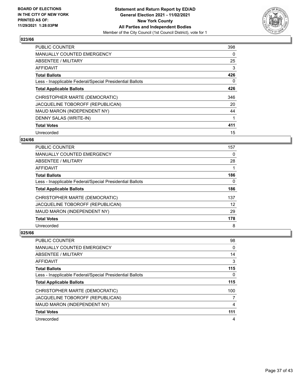

| PUBLIC COUNTER                                           | 398 |
|----------------------------------------------------------|-----|
| <b>MANUALLY COUNTED EMERGENCY</b>                        | 0   |
| ABSENTEE / MILITARY                                      | 25  |
| <b>AFFIDAVIT</b>                                         | 3   |
| <b>Total Ballots</b>                                     | 426 |
| Less - Inapplicable Federal/Special Presidential Ballots | 0   |
| <b>Total Applicable Ballots</b>                          | 426 |
| CHRISTOPHER MARTE (DEMOCRATIC)                           | 346 |
| JACQUELINE TOBOROFF (REPUBLICAN)                         | 20  |
| MAUD MARON (INDEPENDENT NY)                              | 44  |
| DENNY SALAS (WRITE-IN)                                   | 1   |
| <b>Total Votes</b>                                       | 411 |
| Unrecorded                                               | 15  |

# **024/66**

| PUBLIC COUNTER                                           | 157 |
|----------------------------------------------------------|-----|
| <b>MANUALLY COUNTED EMERGENCY</b>                        | 0   |
| ABSENTEE / MILITARY                                      | 28  |
| AFFIDAVIT                                                |     |
| <b>Total Ballots</b>                                     | 186 |
| Less - Inapplicable Federal/Special Presidential Ballots | 0   |
| <b>Total Applicable Ballots</b>                          | 186 |
| CHRISTOPHER MARTE (DEMOCRATIC)                           | 137 |
| JACQUELINE TOBOROFF (REPUBLICAN)                         | 12  |
| MAUD MARON (INDEPENDENT NY)                              | 29  |
| <b>Total Votes</b>                                       | 178 |
| Unrecorded                                               | 8   |

| <b>PUBLIC COUNTER</b>                                    | 98  |
|----------------------------------------------------------|-----|
| <b>MANUALLY COUNTED EMERGENCY</b>                        | 0   |
| ABSENTEE / MILITARY                                      | 14  |
| AFFIDAVIT                                                | 3   |
| <b>Total Ballots</b>                                     | 115 |
| Less - Inapplicable Federal/Special Presidential Ballots | 0   |
| <b>Total Applicable Ballots</b>                          | 115 |
| CHRISTOPHER MARTE (DEMOCRATIC)                           | 100 |
|                                                          |     |
| JACQUELINE TOBOROFF (REPUBLICAN)                         |     |
| MAUD MARON (INDEPENDENT NY)                              | 4   |
| <b>Total Votes</b>                                       | 111 |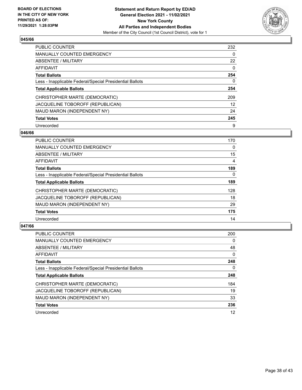

| <b>PUBLIC COUNTER</b>                                    | 232      |
|----------------------------------------------------------|----------|
| <b>MANUALLY COUNTED EMERGENCY</b>                        | $\Omega$ |
| ABSENTEE / MILITARY                                      | 22       |
| AFFIDAVIT                                                | $\Omega$ |
| <b>Total Ballots</b>                                     | 254      |
| Less - Inapplicable Federal/Special Presidential Ballots | 0        |
| <b>Total Applicable Ballots</b>                          | 254      |
| CHRISTOPHER MARTE (DEMOCRATIC)                           | 209      |
| JACQUELINE TOBOROFF (REPUBLICAN)                         | 12       |
| MAUD MARON (INDEPENDENT NY)                              | 24       |
| <b>Total Votes</b>                                       | 245      |
| Unrecorded                                               | 9        |

#### **046/66**

| <b>PUBLIC COUNTER</b>                                    | 170      |
|----------------------------------------------------------|----------|
| <b>MANUALLY COUNTED EMERGENCY</b>                        | $\Omega$ |
| ABSENTEE / MILITARY                                      | 15       |
| <b>AFFIDAVIT</b>                                         | 4        |
| <b>Total Ballots</b>                                     | 189      |
| Less - Inapplicable Federal/Special Presidential Ballots | $\Omega$ |
| <b>Total Applicable Ballots</b>                          | 189      |
| CHRISTOPHER MARTE (DEMOCRATIC)                           | 128      |
| JACQUELINE TOBOROFF (REPUBLICAN)                         | 18       |
| MAUD MARON (INDEPENDENT NY)                              | 29       |
| <b>Total Votes</b>                                       | 175      |
| Unrecorded                                               | 14       |

| <b>PUBLIC COUNTER</b>                                    | 200      |
|----------------------------------------------------------|----------|
| <b>MANUALLY COUNTED EMERGENCY</b>                        | $\Omega$ |
| ABSENTEE / MILITARY                                      | 48       |
| AFFIDAVIT                                                | 0        |
| <b>Total Ballots</b>                                     | 248      |
| Less - Inapplicable Federal/Special Presidential Ballots | 0        |
| <b>Total Applicable Ballots</b>                          | 248      |
| CHRISTOPHER MARTE (DEMOCRATIC)                           | 184      |
| JACQUELINE TOBOROFF (REPUBLICAN)                         | 19       |
| MAUD MARON (INDEPENDENT NY)                              | 33       |
| <b>Total Votes</b>                                       | 236      |
| Unrecorded                                               | 12       |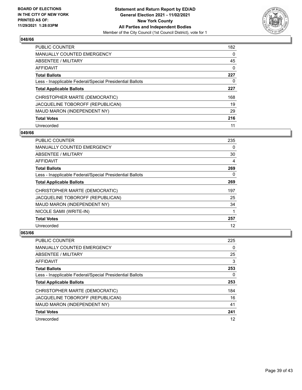

| <b>PUBLIC COUNTER</b>                                    | 182      |
|----------------------------------------------------------|----------|
| <b>MANUALLY COUNTED EMERGENCY</b>                        | $\Omega$ |
| ABSENTEE / MILITARY                                      | 45       |
| AFFIDAVIT                                                | $\Omega$ |
| <b>Total Ballots</b>                                     | 227      |
| Less - Inapplicable Federal/Special Presidential Ballots | 0        |
| <b>Total Applicable Ballots</b>                          | 227      |
| CHRISTOPHER MARTE (DEMOCRATIC)                           | 168      |
| JACQUELINE TOBOROFF (REPUBLICAN)                         | 19       |
| MAUD MARON (INDEPENDENT NY)                              | 29       |
| <b>Total Votes</b>                                       | 216      |
| Unrecorded                                               | 11       |

#### **049/66**

| <b>PUBLIC COUNTER</b>                                    | 235 |
|----------------------------------------------------------|-----|
| <b>MANUALLY COUNTED EMERGENCY</b>                        | 0   |
| ABSENTEE / MILITARY                                      | 30  |
| AFFIDAVIT                                                | 4   |
| <b>Total Ballots</b>                                     | 269 |
| Less - Inapplicable Federal/Special Presidential Ballots | 0   |
| <b>Total Applicable Ballots</b>                          | 269 |
| CHRISTOPHER MARTE (DEMOCRATIC)                           | 197 |
| JACQUELINE TOBOROFF (REPUBLICAN)                         | 25  |
| MAUD MARON (INDEPENDENT NY)                              | 34  |
| NICOLE SAMII (WRITE-IN)                                  |     |
| <b>Total Votes</b>                                       | 257 |
| Unrecorded                                               | 12  |

| PUBLIC COUNTER                                           | 225 |
|----------------------------------------------------------|-----|
| <b>MANUALLY COUNTED EMERGENCY</b>                        | 0   |
| ABSENTEE / MILITARY                                      | 25  |
| AFFIDAVIT                                                | 3   |
| <b>Total Ballots</b>                                     | 253 |
| Less - Inapplicable Federal/Special Presidential Ballots | 0   |
| <b>Total Applicable Ballots</b>                          | 253 |
| CHRISTOPHER MARTE (DEMOCRATIC)                           | 184 |
| JACQUELINE TOBOROFF (REPUBLICAN)                         | 16  |
| MAUD MARON (INDEPENDENT NY)                              | 41  |
| <b>Total Votes</b>                                       | 241 |
| Unrecorded                                               | 12  |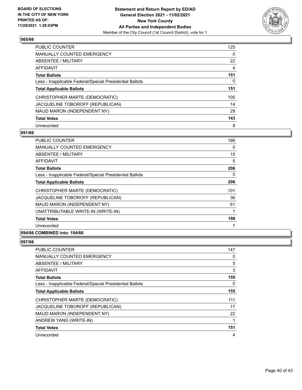

| <b>PUBLIC COUNTER</b>                                    | 125      |
|----------------------------------------------------------|----------|
| <b>MANUALLY COUNTED EMERGENCY</b>                        | $\Omega$ |
| ABSENTEE / MILITARY                                      | 22       |
| <b>AFFIDAVIT</b>                                         | 4        |
| <b>Total Ballots</b>                                     | 151      |
| Less - Inapplicable Federal/Special Presidential Ballots | 0        |
| <b>Total Applicable Ballots</b>                          | 151      |
| CHRISTOPHER MARTE (DEMOCRATIC)                           | 100      |
| JACQUELINE TOBOROFF (REPUBLICAN)                         | 14       |
| MAUD MARON (INDEPENDENT NY)                              | 29       |
| <b>Total Votes</b>                                       | 143      |
| Unrecorded                                               | 8        |

#### **091/66**

| <b>PUBLIC COUNTER</b>                                    | 186      |
|----------------------------------------------------------|----------|
| <b>MANUALLY COUNTED EMERGENCY</b>                        | 0        |
| ABSENTEE / MILITARY                                      | 15       |
| AFFIDAVIT                                                | 5        |
| <b>Total Ballots</b>                                     | 206      |
| Less - Inapplicable Federal/Special Presidential Ballots | $\Omega$ |
| <b>Total Applicable Ballots</b>                          | 206      |
| CHRISTOPHER MARTE (DEMOCRATIC)                           | 101      |
| JACQUELINE TOBOROFF (REPUBLICAN)                         | 36       |
| MAUD MARON (INDEPENDENT NY)                              | 61       |
| UNATTRIBUTABLE WRITE-IN (WRITE-IN)                       | 1        |
| <b>Total Votes</b>                                       | 199      |
| Unrecorded                                               | 7        |

# **094/66 COMBINED into: 104/66**

| PUBLIC COUNTER                                           | 147      |
|----------------------------------------------------------|----------|
| MANUALLY COUNTED EMERGENCY                               | 0        |
| ABSENTEE / MILITARY                                      | 5        |
| AFFIDAVIT                                                | 3        |
| <b>Total Ballots</b>                                     | 155      |
| Less - Inapplicable Federal/Special Presidential Ballots | $\Omega$ |
| <b>Total Applicable Ballots</b>                          | 155      |
| CHRISTOPHER MARTE (DEMOCRATIC)                           | 111      |
| JACQUELINE TOBOROFF (REPUBLICAN)                         | 17       |
| MAUD MARON (INDEPENDENT NY)                              | 22       |
| ANDREW YANG (WRITE-IN)                                   | 1        |
| <b>Total Votes</b>                                       | 151      |
| Unrecorded                                               | 4        |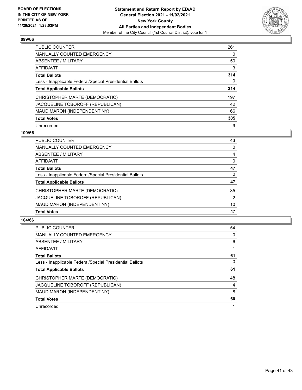

| <b>PUBLIC COUNTER</b>                                    | 261      |
|----------------------------------------------------------|----------|
| <b>MANUALLY COUNTED EMERGENCY</b>                        | $\Omega$ |
| ABSENTEE / MILITARY                                      | 50       |
| <b>AFFIDAVIT</b>                                         | 3        |
| <b>Total Ballots</b>                                     | 314      |
| Less - Inapplicable Federal/Special Presidential Ballots | 0        |
| <b>Total Applicable Ballots</b>                          | 314      |
| CHRISTOPHER MARTE (DEMOCRATIC)                           | 197      |
| JACQUELINE TOBOROFF (REPUBLICAN)                         | 42       |
| MAUD MARON (INDEPENDENT NY)                              | 66       |
| <b>Total Votes</b>                                       | 305      |
| Unrecorded                                               | 9        |

#### **100/66**

| 43             |
|----------------|
| 0              |
| 4              |
| $\Omega$       |
| 47             |
| $\Omega$       |
| 47             |
| 35             |
| $\overline{2}$ |
| 10             |
| 47             |
|                |

| <b>PUBLIC COUNTER</b>                                    | 54             |
|----------------------------------------------------------|----------------|
| <b>MANUALLY COUNTED EMERGENCY</b>                        | $\Omega$       |
| <b>ABSENTEE / MILITARY</b>                               | 6              |
| <b>AFFIDAVIT</b>                                         |                |
| <b>Total Ballots</b>                                     | 61             |
| Less - Inapplicable Federal/Special Presidential Ballots | $\Omega$       |
| <b>Total Applicable Ballots</b>                          | 61             |
| CHRISTOPHER MARTE (DEMOCRATIC)                           | 48             |
| JACQUELINE TOBOROFF (REPUBLICAN)                         | $\overline{4}$ |
| MAUD MARON (INDEPENDENT NY)                              | 8              |
| <b>Total Votes</b>                                       | 60             |
| Unrecorded                                               | 1              |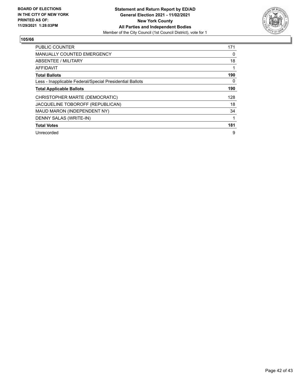

| <b>PUBLIC COUNTER</b>                                    | 171      |
|----------------------------------------------------------|----------|
| <b>MANUALLY COUNTED EMERGENCY</b>                        | 0        |
| <b>ABSENTEE / MILITARY</b>                               | 18       |
| <b>AFFIDAVIT</b>                                         |          |
| <b>Total Ballots</b>                                     | 190      |
| Less - Inapplicable Federal/Special Presidential Ballots | $\Omega$ |
| <b>Total Applicable Ballots</b>                          | 190      |
| CHRISTOPHER MARTE (DEMOCRATIC)                           | 128      |
| JACQUELINE TOBOROFF (REPUBLICAN)                         | 18       |
| MAUD MARON (INDEPENDENT NY)                              | 34       |
| DENNY SALAS (WRITE-IN)                                   |          |
| <b>Total Votes</b>                                       | 181      |
| Unrecorded                                               | 9        |